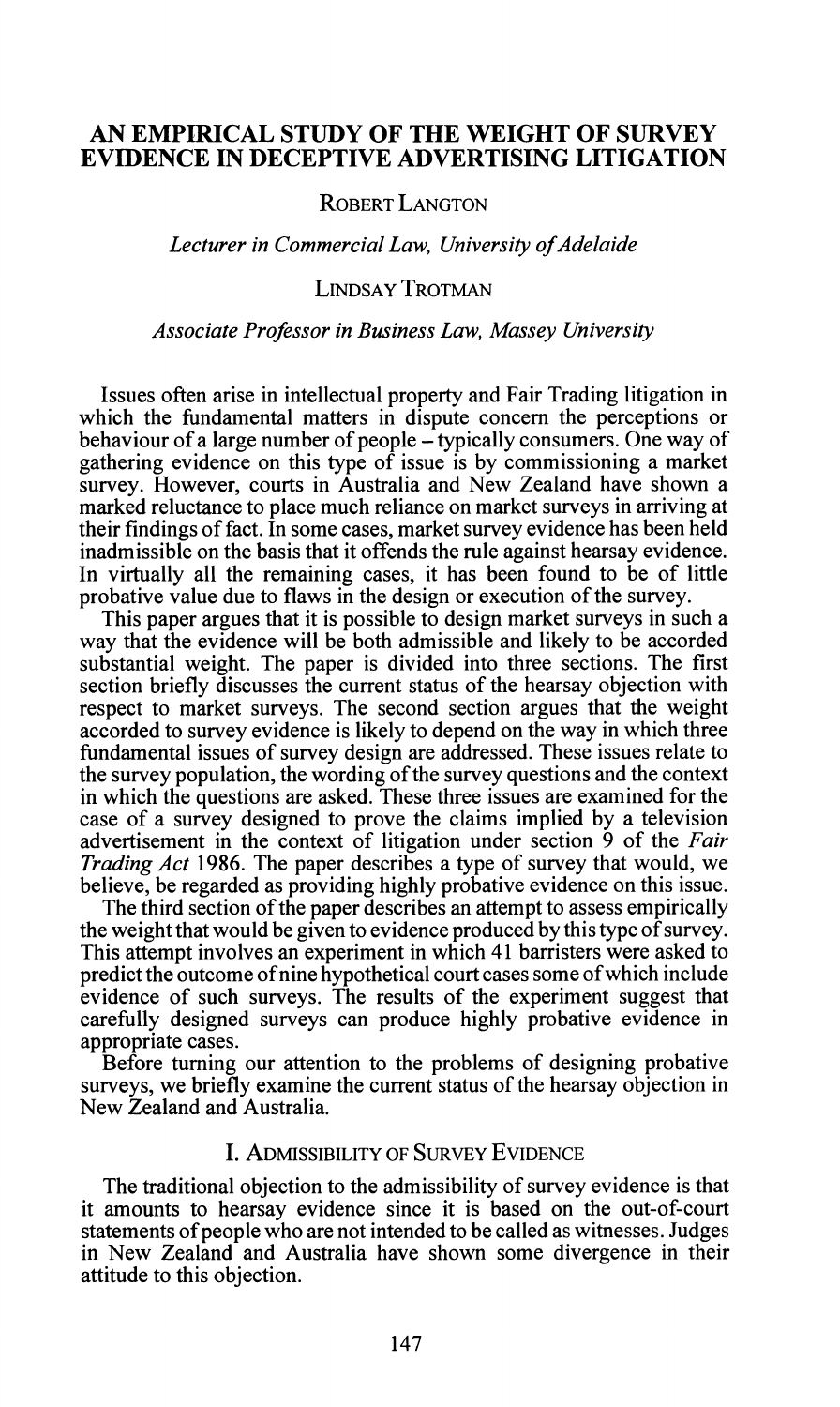# **AN EMPERICAL STUDY OF THE WEIGHT OF SURVEY EVIDENCE IN DECEPTIVE ADVERTISING LITIGATION**

**ROBERT LANGTON** 

#### *Lecturer in Commercial Law, University of Adelaide*

### **LINDSAY TROTMAN**

#### *Associate Professor in Business Law, Massey University*

Issues often arise in intellectual property and Fair Trading litigation in which the fundamental matters in dispute concern the perceptions or behaviour of a large number of people – typically consumers. One way of gathering evidence on this type of issue is by commissioning a market survey. However, courts in Australia and New Zealand have shown a marked reluctance to place much reliance on market surveys in arriving at their findings of fact. In some cases, market survey evidence has been held inadmissible on the basis that it offends the rule against hearsay evidence. In virtually all the remaining cases, it has been found to be of little probative value due to flaws in the design or execution of the survey.

This paper argues that it is possible to design market surveys in such a way that the evidence will be both admissible and likely to be accorded substantial weight. The paper is divided into three sections. The first section briefly discusses the current status of the hearsay objection with respect to market surveys. The second section argues that the weight accorded to survey evidence is likely to depend on the way in which three fundamental issues of survey design are addressed. These issues relate to the survey population, the wording of the survey questions and the context in which the questions are asked. These three issues are examined for the case of a survey designed to prove the claims implied by a television advertisement in the context of litigation under section **9** of the *Fair Trading Act* **1986.** The paper describes a type of survey that would, we believe, be regarded as providing highly probative evidence on this issue.

The third section of the paper describes an attempt to assess empirically the weight that would be given to evidence produced by this type of survey. This attempt involves an experiment in which **41** barristers were asked to predict the outcome of nine hypothetical court cases some of which include evidence of such surveys. The results of the experiment suggest that carefully designed surveys can produce highly probative evidence in appropriate cases.

Before turning our attention to the problems of designing probative surveys, we briefly examine the current status of the hearsay objection in New Zealand and Australia.

# I. ADMISSIBILITY OF SURVEY EVIDENCE

The traditional objection to the admissibility of survey evidence is that it amounts to hearsay evidence since it is based on the out-of-court statements of people who are not intended to be called as witnesses. Judges in New Zealand and Australia have shown some divergence in their attitude to this objection.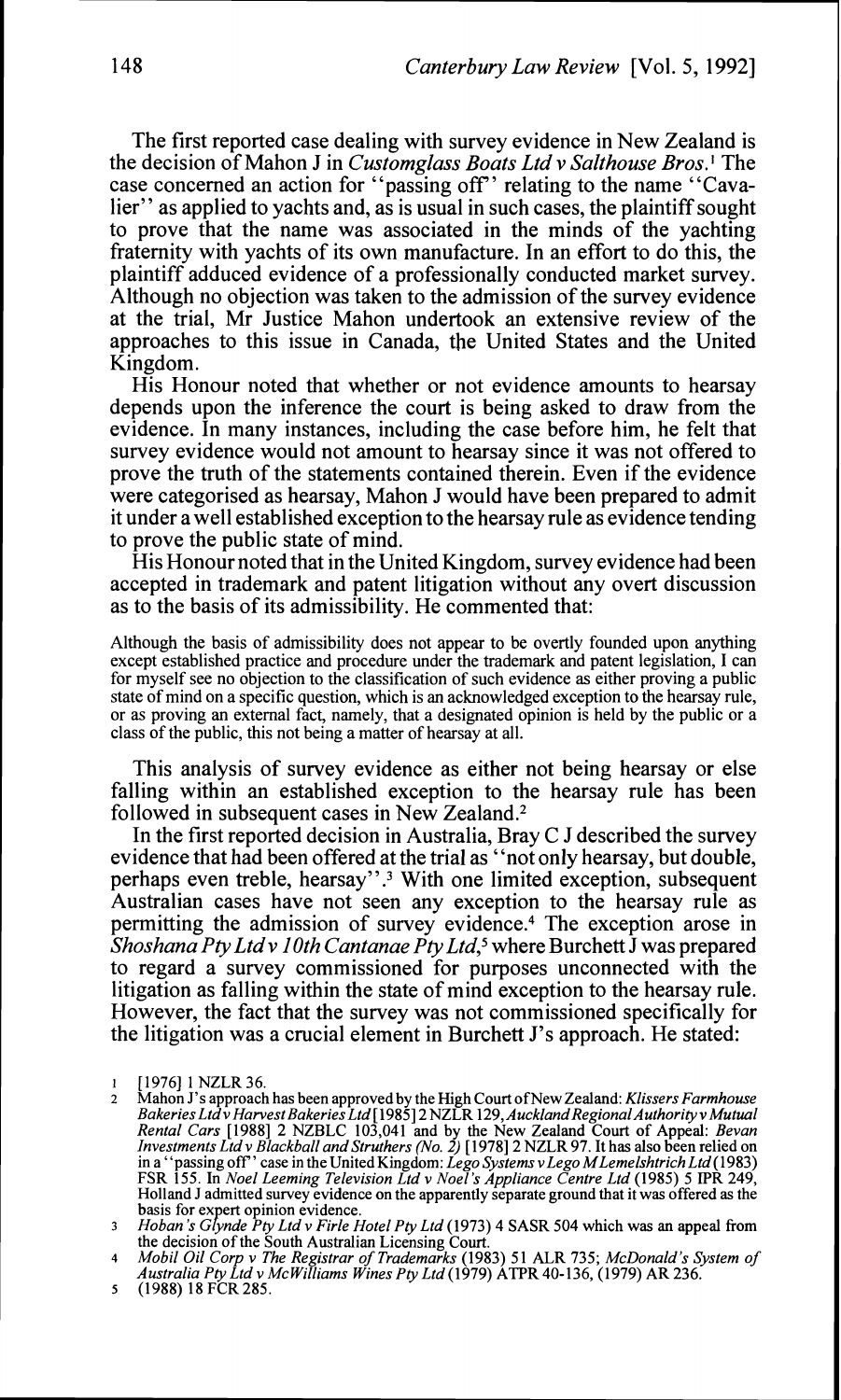The first reported case dealing with survey evidence in New Zealand is the decision of Mahon J in *Customglass Boats Ltd v SaIthouse Bros.'* The case concerned an action for "passing off" relating to the name "Cavalier" as applied to yachts and, as is usual in such cases, the plaintiff sought to prove that the name was associated in the minds of the yachting fraternity with yachts of its own manufacture. In an effort to do this, the plaintiff adduced evidence of a professionally conducted market survey. Although no objection was taken to the admission of the survey evidence at the trial, Mr Justice Mahon undertook an extensive review of the approaches to this issue in Canada, the United States and the United Kingdom.

His Honour noted that whether or not evidence amounts to hearsay depends upon the inference the court is being asked to draw from the evidence. In many instances, including the case before him, he felt that survey evidence would not amount to hearsay since it was not offered to prove the truth of the statements contained therein. Even if the evidence were categorised as hearsay, Mahon J would have been prepared to admit it under a well established exception to the hearsay rule as evidence tending to prove the public state of mind.

His Honour noted that in the United Kingdom, survey evidence had been accepted in trademark and patent litigation without any overt discussion as to the basis of its admissibility. He commented that:

Although the basis of admissibility does not appear to be overtly founded upon anything except established practice and procedure under the trademark and patent legislation, I can for myself see no objection to the classification of such evidence as either proving a public state of mind on a specific question, which is an acknowledged exception to the hearsay rule, or as proving an external fact, namely, that a designated opinion is held by the public or a class of the public, this not being a matter of hearsay at all.

This analysis of survey evidence as either not being hearsay or else falling within an established exception to the hearsay rule has been followed in subsequent cases in New Zealand.2

In the first reported decision in Australia, Bray C J described the survey evidence that had been offered at the trial as "not only hearsay, but double, perhaps even treble, hearsay".<sup>3</sup> With one limited exception, subsequent Australian cases have not seen any exception to the hearsay rule as permitting the admission of survey evidence.<sup>4</sup> The exception arose in *Shoshana Pty Ltd v 10th Cantanae Pty Ltd*,<sup>5</sup> where Burchett *J* was prepared to regard a survey commissioned for purposes unconnected with the litigation as falling within the state of mind exception to the hearsay rule. However, the fact that the survey was not commissioned specifically for the litigation was a crucial element in Burchett J's approach. He stated:

<sup>1 [1976] 1</sup> NZLR 36.<br>2 Mahon J's approach

Mahon J's approach has been approved by the High Court of New Zealand: *Klissers Farmhouse Bakeries Ltdv HarvestBakeries Ltd* [l985] 2 NZLR 129, *Auckland Regional Authorityv Mutual*  Rental Cars [1988] 2 NZBLC 103,041 and by the New Zealand Court of Appeal: *Bevan Investments Ltd v Blackball and Struthers (No. 2)* [1978] 2 NZLR 97. It has also been relied on in a "passing off" case in the United Kingdo Holland J admitted survey evidence on the apparently separate ground that it was offered as the basis for expert opinion evidence.<br>**3** *Hoban's Glynde Pty Ltd v Firle Hotel Pty Ltd* (1973) 4 SASR 504 which was an appeal from

the decision of the South Australian Licensing Court.<br>4 *Mobil Oil Corp v The Registrar of Trademarks* (1983) 51 ALR 735; *McDonald's System of Australia Pty Ltd v McWilliams Wines Pty Ltd* (1979) ATPR 40-136, (1979) AR 23

*<sup>5</sup>* (1988) 18 FCR 285.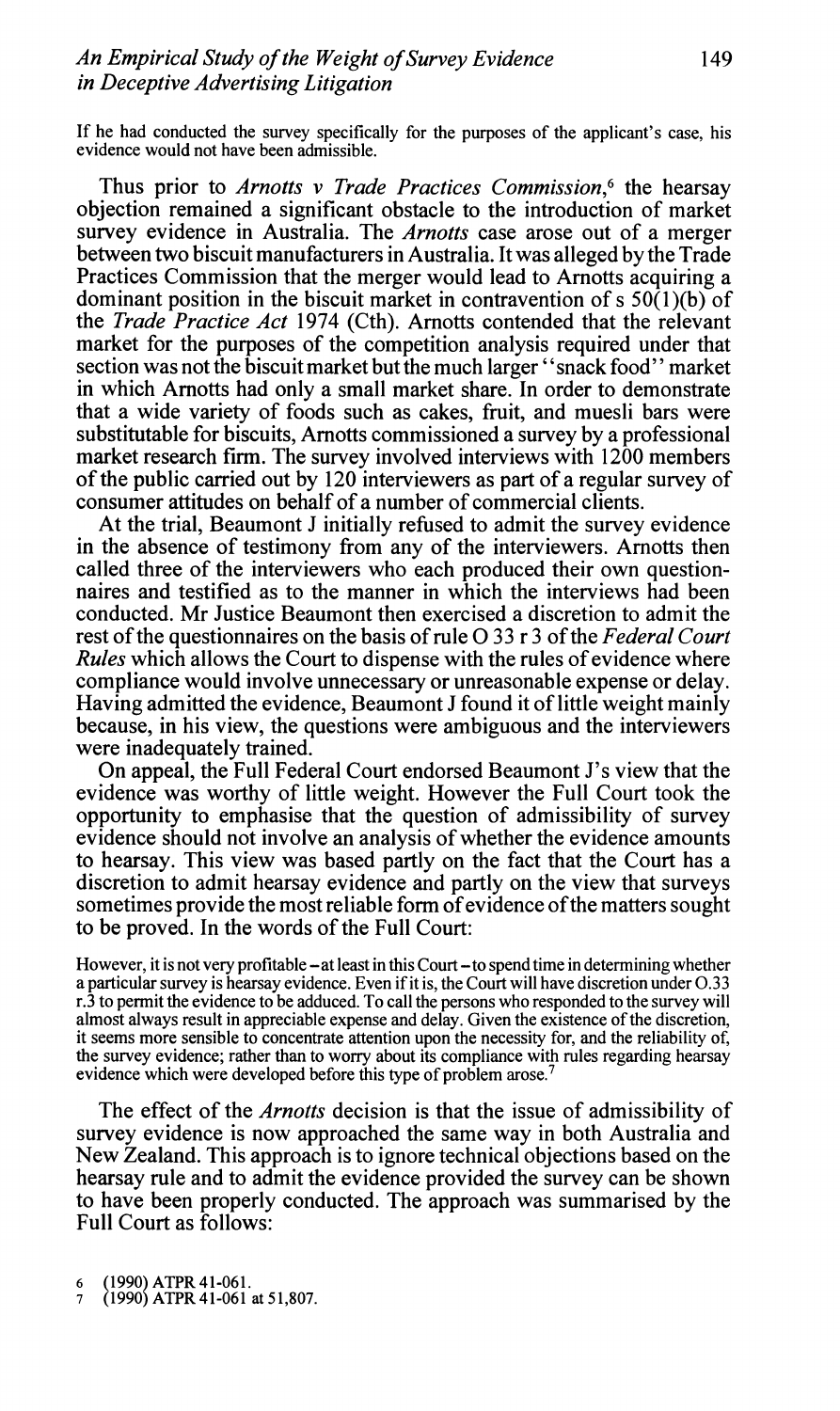If he had conducted the survey specifically for the purposes of the applicant's case, his evidence would not have been admissible.

Thus prior to *Arnotts v Trade Practices Commission*,<sup>6</sup> the hearsay objection remained a significant obstacle to the introduction of market survey evidence in Australia. The *Arnotts* case arose out of a merger between two biscuit manufacturers in Australia. It was alleged by the Trade Practices Commission that the merger would lead to Arnotts acquiring a dominant position in the biscuit market in contravention of s  $50(1)(b)$  of the *Trade Practice Act 1974* (Cth). Arnotts contended that the relevant market for the purposes of the competition analysis required under that section was not the biscuit market but the much larger "snack food" market in which Arnotts had only a small market share. In order to demonstrate that a wide variety of foods such as cakes, fruit, and muesli bars were substitutable for biscuits, Arnotts commissioned a survey by a professional market research **firm.** The survey involved interviews with 1200 members of the public carried out by 120 interviewers as part of a regular survey of consumer attitudes on behalf of a number of commercial clients.

At the trial, Beaumont J initially refused to admit the survey evidence in the absence of testimony from any of the interviewers. Arnotts then called three of the interviewers who each produced their own questionnaires and testified as to the manner in which the interviews had been conducted. Mr Justice Beaumont then exercised a discretion to admit the rest of the questionnaires on the basis of rule 0 33 r **3** of the *Federal Court Rules* which allows the Court to dispense with the rules of evidence where compliance would involve unnecessary or unreasonable expense or delay. Having admitted the evidence, Beaumont J found it of little weight mainly because, in his view, the questions were ambiguous and the interviewers were inadequately trained.

On appeal, the Full Federal Court endorsed Beaumont J's view that the evidence was worthy of little weight. However the Full Court took the opportunity to emphasise that the question of admissibility of survey evidence should not involve an analysis of whether the evidence amounts to hearsay. This view was based partly on the fact that the Court has a discretion to admit hearsay evidence and partly on the view that surveys sometimes provide the most reliable form of evidence of the matters sought to be proved. In the words of the Full Court:

However, it is not very profitable – at least in this Court – to spend time in determining whether a particular survey is hearsay evidence. Even if it is, the Court will have discretion under 0.33 1.3 to permit the evidence to be adduced. To call the persons who responded to the survey will almost always result in appreciable expense and delay. Given the existence of the discretion, it seems more sensible to concentrate attention upon the necessity for, and the reliability of, the survey evidence; rather than to worry about its compliance with rules regarding hearsay evidence which were developed before this type of problem arose.'

The effect of the *Arnotts* decision is that the issue of admissibility of survey evidence is now approached the same way in both Australia and New Zealand. This approach is to ignore technical objections based on the hearsay rule and to admit the evidence provided the survey can be shown to have been properly conducted. The approach was summarised by the Full Court as follows:

(1990) ATPR 41-061.

<sup>(1990)</sup> ATPR 41-061 at 51,807.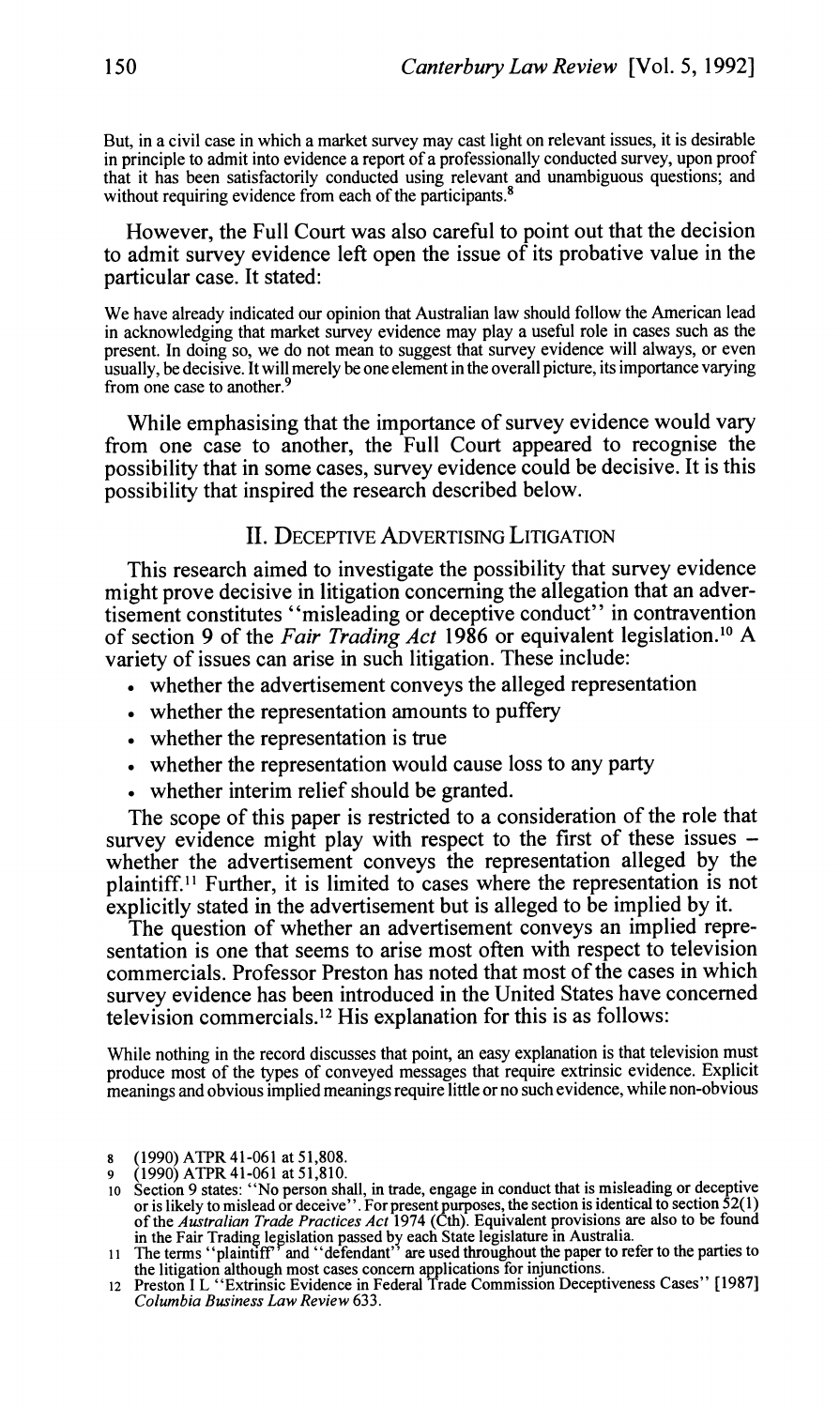But, in a civil case in which a market survey may cast light on relevant issues, it is desirable in principle to admit into evidence a report of a professionally conducted survey, upon proof that it has been satisfactorily conducted using relevant and unambiguous questions; and without requiring evidence from each of the participants.<sup>8</sup>

#### However, the Full Court was also careful to point out that the decision to admit survey evidence left open the issue of its probative value in the particular case. It stated:

We have already indicated our opinion that Australian law should follow the American lead in acknowledging that market survey evidence may play a useful role in cases such as the present. In doing so, we do not mean to suggest that survey evidence will always, or even usually, be decisive. It will merely be one element in the overall picture, its importance varying from one case to another.

While emphasising that the importance of survey evidence would vary from one case to another, the Full Court appeared to recognise the possibility that in some cases, survey evidence could be decisive. It is this possibility that inspired the research described below.

## **II. DECEPTIVE ADVERTISING LITIGATION**

This research aimed to investigate the possibility that survey evidence might prove decisive in litigation concerning the allegation that an advertisement constitutes "misleading or deceptive conduct'' in contravention of section 9 of the *Fair Trading Act* 1986 or equivalent legislation.<sup>10</sup> A variety of issues can arise in such litigation. These include:

- . whether the advertisement conveys the alleged representation
- whether the representation amounts to puffery
- whether the representation is true
- . whether the representation would cause loss to any party
- whether interim relief should be granted.

The scope of this paper is restricted to a consideration of the role that survey evidence might play with respect to the first of these issues whether the advertisement conveys the representation alleged by the plaintiff." Further, it is limited to cases where the representation is not explicitly stated in the advertisement but is alleged to be implied by it.

The question of whether an advertisement conveys an implied representation is one that seems to arise most often with respect to television commercials. Professor Preston has noted that most of the cases in which survey evidence has been introduced in the United States have concerned television commercials.'2 His explanation for this is as follows:

While nothing in the record discusses that point, an easy explanation is that television must produce most of the types of conveyed messages that require extrinsic evidence. Explicit meanings and obvious implied meanings require little or no such evidence, while non-obvious

**<sup>8</sup>** (1990) ATPR41-061 at 51,808.

<sup>9 (1990)</sup> ATPR 41-061 at 51,810.<br>10 Section 9 states: "No person shall, in trade, engage in conduct that is misleading or deceptive o Section 9 states: "No person shall, in trade, engage in conduct that is misleading or deceptive<br>or is likely to mislead or deceive". For present purposes, the section is identical to section 52(1)<br>of the *Australian Tra* 

the litigation although most cases concern applications for injunctions. **12** Preston I L "Extrinsic Evidence in Federal Trade Commission Deceptiveness Cases" [I9871 *Columbia Business Law Review 633.*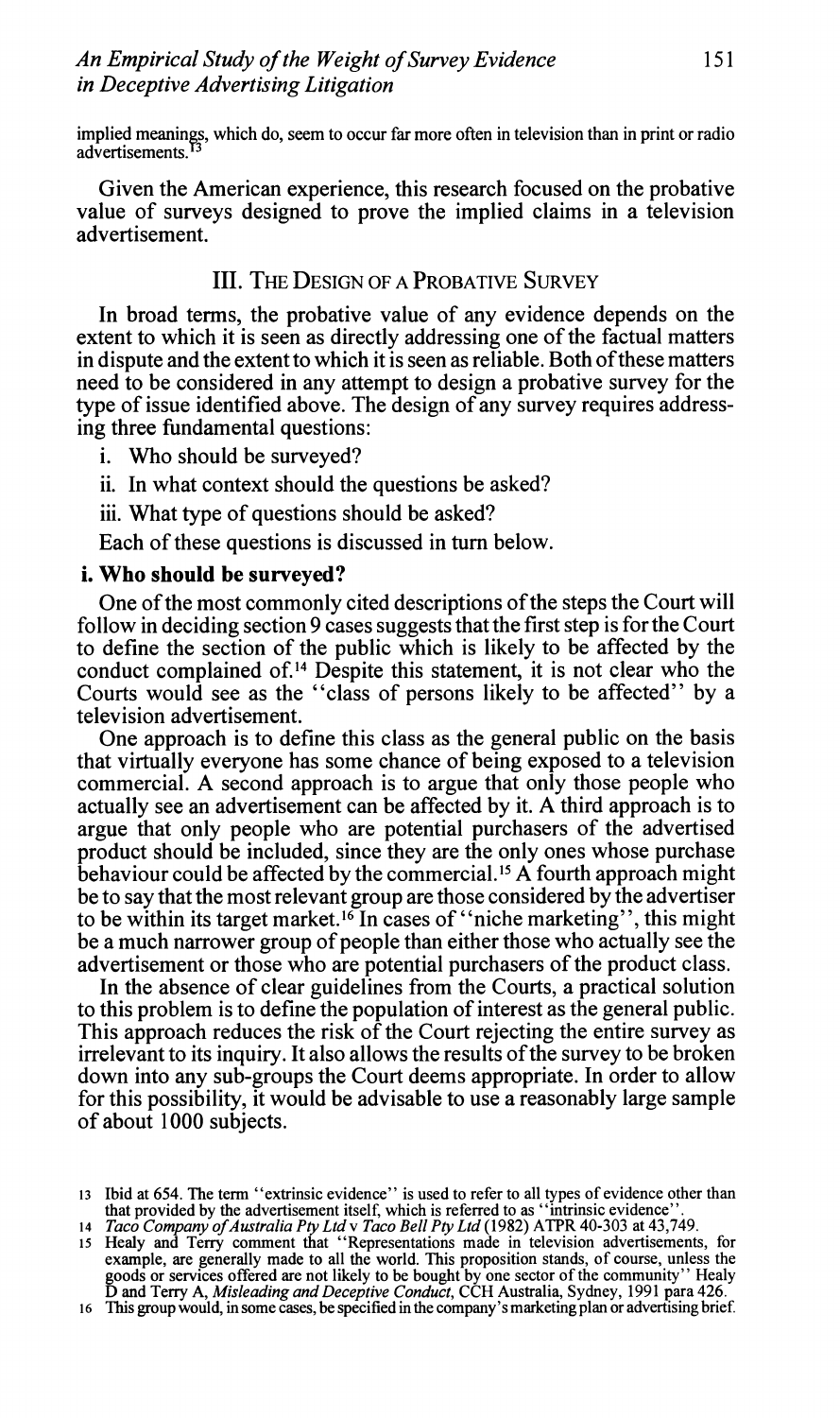implied meanings, which do, seem to occur far more often in television than in print or radio advertisements.

Given the American experience, this research focused on the probative value of surveys designed to prove the implied claims in a television advertisement.

# **III. THE DESIGN OF A PROBATIVE SURVEY**

In broad terms, the probative value of any evidence depends on the extent to which it is seen as directly addressing one of the factual matters in dispute and the extent to which it is seen as reliable. Both of these matters need to be considered in any attempt to design a probative survey for the type of issue identified above. The design of any survey requires addressing three fundamental questions:

i. Who should be surveyed?

ii. In what context should the questions be asked?

iii. What type of questions should be asked?

Each of these questions is discussed in turn below.

#### **i. Who should be surveyed?**

One of the most commonly cited descriptions of the steps the Court will follow in deciding section 9 cases suggests that the first step is for the Court to define the section of the public which is likely to be affected by the conduct complained of.14 Despite this statement, it is not clear who the Courts would see as the "class of persons likely to be affected" by a television advertisement.

One approach is to define this class as the general public on the basis that virtually everyone has some chance of being exposed to a television commercial. A second approach is to argue that only those people who actually see an advertisement can be affected by it. **A** third approach is to argue that only people who are potential purchasers of the advertised product should be included, since they are the only ones whose purchase behaviour could be affected by the commercial.15 A fourth approach might be to say that the most relevant group are those considered by the advertiser to be within its target market.16 In cases of "niche marketing", this might be a much narrower group of people than either those who actually see the advertisement or those who are potential purchasers of the product class.

In the absence of clear guidelines from the Courts, a practical solution to this problem is to define the population of interest as the general public. This approach reduces the risk of the Court rejecting the entire survey as irrelevant to its inquiry. It also allows the results of the survey to be broken down into any sub-groups the Court deems appropriate. In order to allow for this possibility, it would be advisable to use a reasonably large sample of about 1000 subjects.

<sup>13</sup> Ibid at 654. The term "extrinsic evidence" is used to refer to all types of evidence other than<br>that provided by the advertisement itself, which is referred to as "intrinsic evidence".<br>14 *Taco Company of Australia Pty* 

example, are generally made to all the world. This proposition stands, of course, unless the goods or services offered are not likely to be bought by one sector of the community'' Healy<br>D and Terry A, *Misleading and Deceptive Conduct*, CCH Australia, Sydney, 1991 para 426.<br>16 This group would, in some cases, be s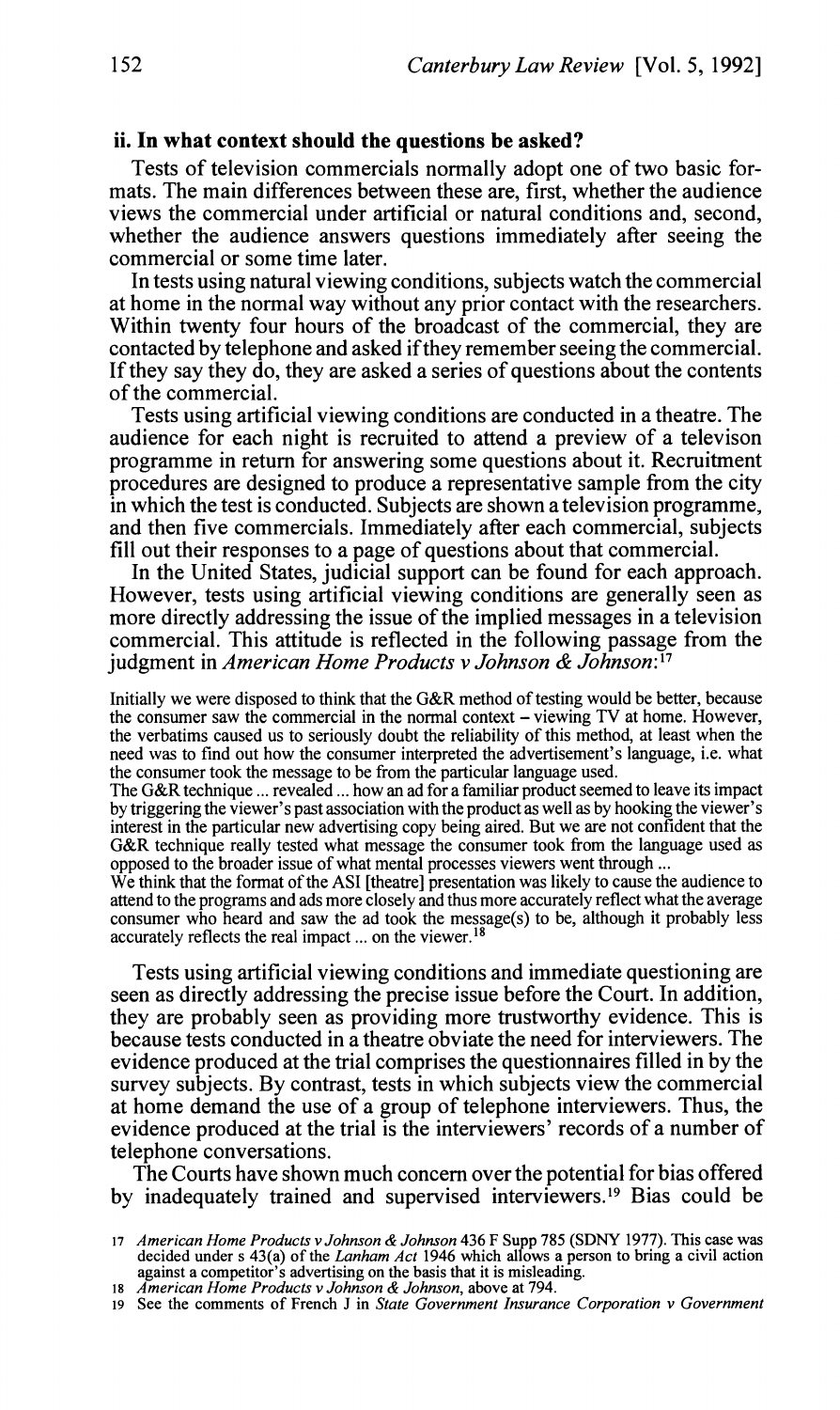#### **ii. In what context should the questions be asked?**

Tests of television commercials normally adopt one of two basic formats. The main differences between these are, first, whether the audience views the commercial under artificial or natural conditions and, second, whether the audience answers questions immediately after seeing the commercial or some time later.

In tests using natural viewing conditions, subjects watch the commercial at home in the normal way without any prior contact with the researchers. Within twenty four hours of the broadcast of the commercial, they are contacted by telephone and asked ifthey remember seeing the commercial. If they say they do, they are asked a series of questions about the contents of the commercial.

Tests using artificial viewing conditions are conducted in a theatre. The audience for each night is recruited to attend a preview of a televison programme in return for answering some questions about it. Recruitment procedures are designed to produce a representative sample from the city in which the test is conducted. Subjects are shown a television programme, and then five commercials. Immediately after each commercial, subjects fill out their responses to a page of questions about that commercial.

In the United States, judicial support can be found for each approach. However, tests using artificial viewing conditions are generally seen as more directly addressing the issue of the implied messages in a television commercial. This attitude is reflected in the following passage from the judgment in *American Home Products v Johnson* & *Johnson:* l7

Initially we were disposed to think that the G&R method of testing would be better, because the consumer saw the commercial in the normal context - viewing TV at home. However, the verbatims caused us to seriously doubt the reliability of this method, at least when the need was to find out how the consumer interpreted the advertisement's language, i.e. what the consumer took the message to be from the particular language used.

The G&R technique ... revealed ... how an ad for a familiar product seemed to leave its impact by triggering the viewer's past association with the product as well as by hooking the viewer's interest in the particular new advertising copy being aired. But we are not confident that the G&R technique really tested what message the consumer took from the language used as opposed to the broader issue of what mental processes viewers went through ...

We think that the format of the **AS1** [theatre] presentation was likely to cause the audience to attend to the programs and ads more closely and thus more accurately reflect what the average consumer who heard and saw the ad took the message(s) to be, although it probably less accurately reflects the real impact ... on the viewer.<sup>18</sup>

Tests using artificial viewing conditions and immediate questioning are seen as directly addressing the precise issue before the Court. In addition, they are probably seen as providing more trustworthy evidence. This is because tests conducted in a theatre obviate the need for interviewers. The evidence produced at the trial comprises the questionnaires filled in by the survey subjects. By contrast, tests in which subjects view the commercial at home demand the use of a group of telephone interviewers. Thus, the evidence produced at the trial is the interviewers' records of a number of telephone conversations.

The Courts have shown much concern over the potential for bias offered by inadequately trained and supervised interviewers.19 Bias could be

*American Home Products v Johnson & Johnson* 436 *F* Supp 785 (SDNY 1977). This case was decided under s 43(a) of the *Lanham Act* 1946 which allows a person to bring a civil action against a competitor's advertising on th

<sup>18</sup> American Home Products v Johnson & Johnson, above at 794.<br>19 See the comments of French J in State Government Insurance Corporation v Government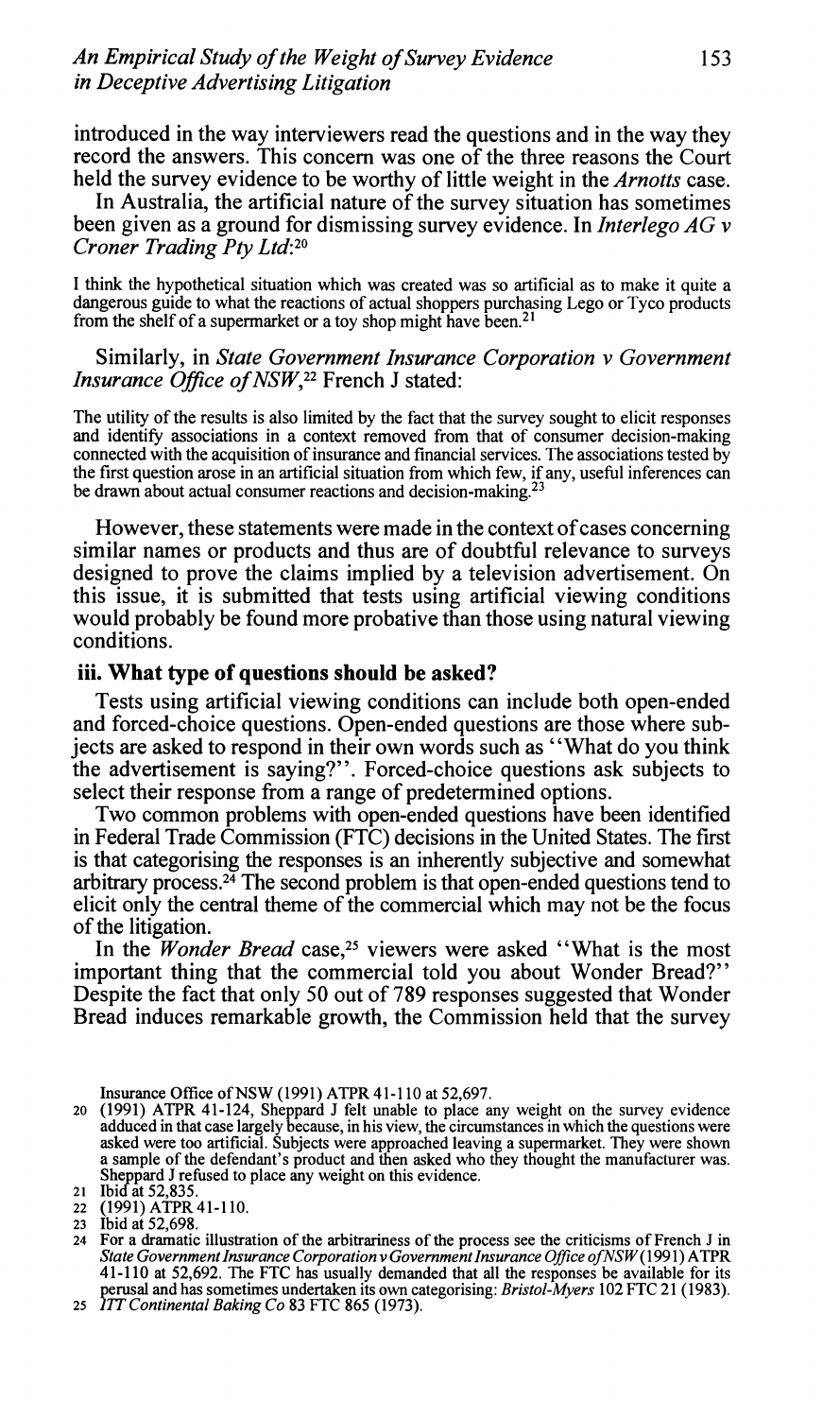introduced in the way interviewers read the questions and in the way they record the answers. This concern was one of the three reasons the Court held the survey evidence to be worthy of little weight in the *Arnotts* case.

In Australia, the artificial nature of the survey situation has sometimes been given as a ground for dismissing survey evidence. In *Interlego AG* v *Croner Trading Pty Ltd*:<sup>20</sup>

1 think the hypothetical situation which was created was so artificial as to make it quite a dangerous guide to what the reactions of actual shoppers purchasing Lego or Tyco products from the shelf of a supermarket or a toy shop might have been.<sup>21</sup>

#### Similarly, in *State Government Insurance Corporation v Government Insurance Ofice of NSW,22* French *J* stated:

The utility of the results is also limited by the fact that the survey sought to elicit responses and identify associations in a context removed from that of consumer decision-making connected with the acquisition of insurance and financial services. The associations tested by the first question arose in an artificial situation from which few, if any, useful inferences can be drawn about actual consumer reactions and decision-making.<sup>23</sup>

However, these statements were made in the context of cases concerning similar names or products and thus are of doubtful relevance to surveys designed to prove the claims implied by a television advertisement. On this issue, it is submitted that tests using artificial viewing conditions would probably be found more probative than those using natural viewing conditions.

#### **iii. What type of questions should be asked?**

Tests using artificial viewing conditions can include both open-ended and forced-choice questions. Open-ended questions are those where subjects are asked to respond in their own words such as "What do you think the advertisement is saying?". Forced-choice questions ask subjects to select their response from a range of predetermined options.

Two common problems with open-ended questions have been identified in Federal Trade Commission (FTC) decisions in the United States. The first is that categorising the responses is an inherently subjective and somewhat arbitrary process.<sup>24</sup> The second problem is that open-ended questions tend to elicit only the central theme of the commercial which may not be the focus of the litigation.

In the *Wonder Bread* case,<sup>25</sup> viewers were asked "What is the most important thing that the commercial told you about Wonder Bread?" Despite the fact that only 50 out of 789 responses suggested that Wonder Bread induces remarkable growth, the Commission held that the survey

Insurance Office of NSW (1991) ATPR 41-1 10 at 52,697.

**<sup>20</sup>**(1991) ATPR 41-124, Sheppard J felt unable to place any weight on the survey evidence adduced in that case largely because, in his view, the circumstances in which the questions were<br>asked were too artificial. Subjects were approached leaving a supermarket. They were shown<br>a sample of the defendant's produc **21 Depard J refused to place any weight on this evidence.**<br>21 **Ibid at 52,835.** 

**<sup>22</sup>** (1991) ATPR 41-1 10.

<sup>24</sup> For a dramatic illustration of the arbitrariness of the process see the criticisms of French J in *State Government Insurance Corporation v Government Insurance Office of NSW* (1991) ATPR 41-110 at 52,692. The FTC has usually demanded that all the responses be available for its perusal and has sometimes undertaken its own categorising: *Bristol-Myers* 102 FTC 21 (1 983). **25 17T** *Continental Baking Co* 83 *FTC* 865 (1973).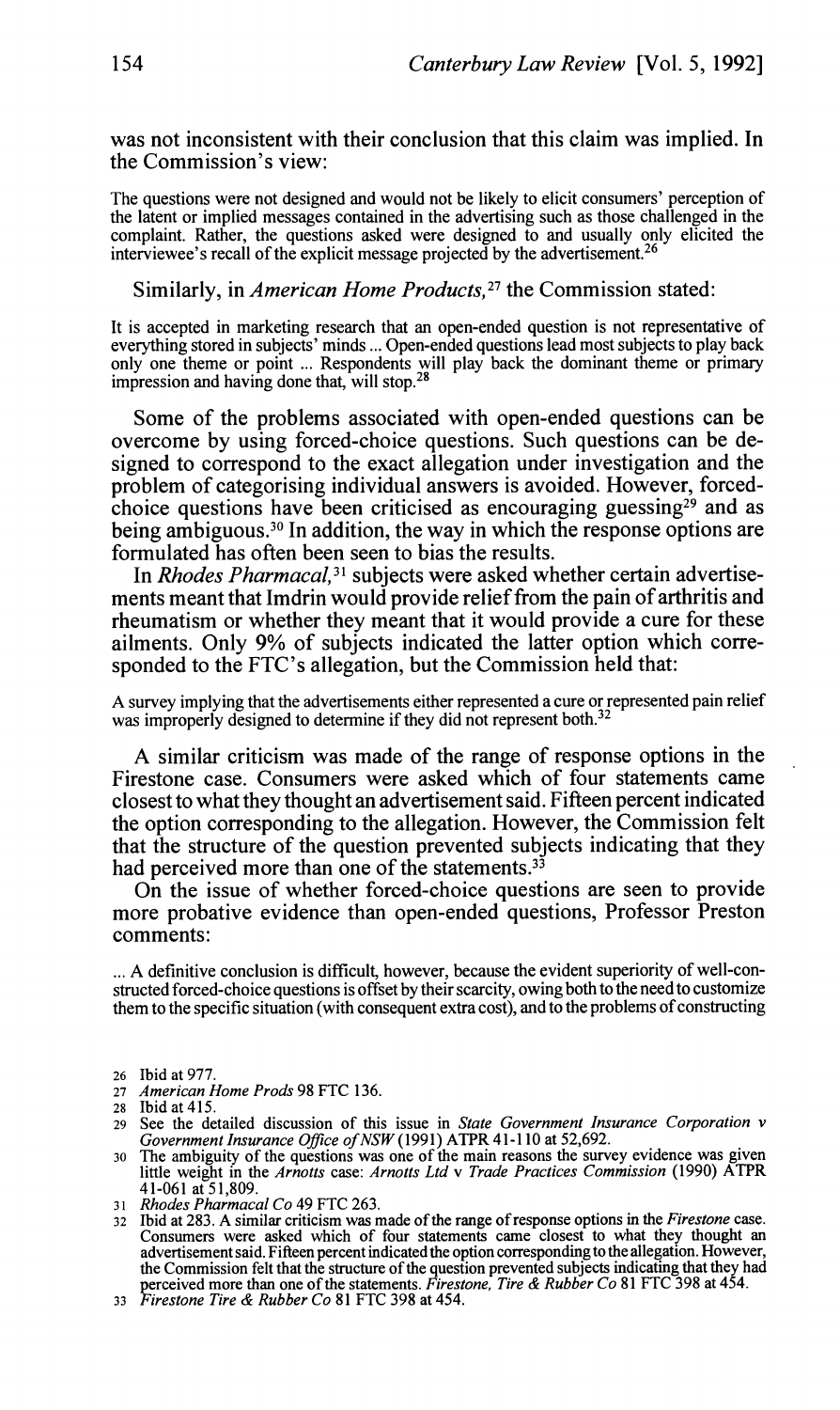was not inconsistent with their conclusion that this claim was implied. In the Commission's view:

The questions were not designed and would not be likely to elicit consumers' perception of the latent or implied messages contained in the advertising such as those challenged in the complaint. Rather, the questions asked were designed to and usually only elicited the interviewee's recall of the explicit message projected by the advertisement.<sup>26</sup>

Similarly, in *American Home Products*,<sup>27</sup> the Commission stated:

It is accepted in marketing research that an open-ended question is not representative of everything stored in subjects' minds ... Open-ended questions lead most subjects to play back only one theme or point ... Respondents will play back the dominant theme or primary impression and having done that, will stop.28

Some of the problems associated with open-ended questions can be overcome by using forced-choice questions. Such questions can be designed to correspond to the exact allegation under investigation and the problem of categorising individual answers is avoided. However, forcedchoice questions have been criticised as encouraging guessing<sup>29</sup> and as being ambiguous.<sup>30</sup> In addition, the way in which the response options are formulated has often been seen to bias the results.

In *Rhodes Pharmacal*,<sup>31</sup> subjects were asked whether certain advertisements meant that Imdrin would provide relief from the pain of arthritis and rheumatism or whether they meant that it would provide a cure for these ailments. Only 9% of subjects indicated the latter option which corresponded to the FTC's allegation, but the Commission held that:

**<sup>A</sup>**survey implying that the advertisements either represented a cure or represented pain relief was improperly designed to determine if they did not represent both.32

A similar criticism was made of the range of response options in the Firestone case. Consumers were asked which of four statements came closest to what they thought an advertisement said. Fifteen percent indicated the option corresponding to the allegation. However, the Commission felt that the structure of the question prevented subjects indicating that they had perceived more than one of the statements.<sup>33</sup>

On the issue of whether forced-choice questions are seen to provide more probative evidence than open-ended questions, Professor Preston comments:

... **A** definitive conclusion is difficult. however. because the evident superioritv of well-constructed forced-choice questions is offset by their scarcity, owing both to the need to customize them to the specific situation (with consequent extra cost), and to the problems of constructing

- 
- *31 Rhodes Pharmacal Co* 49 FTC 263. Consumers were asked which of four statements came closest to what they thought an advertisement said. Fifteen percent indicated the option corresponding to the allegation. However, the Commission felt that the structure

<sup>26</sup> Ibid at 977. 27 *American Home Prods* 98 FTC 136.

<sup>28</sup> Ibid at 415.

<sup>29</sup> See the detailed discussion of this issue in *State Government Insurance Corporation v* 

<sup>30</sup> The ambiguity of the questions was one of the main reasons the survey evidence was given little weight in the Arnotts case: Arnotts Ltd v Trade Practices Commission (1990) ATPR 41-061 at 51,809.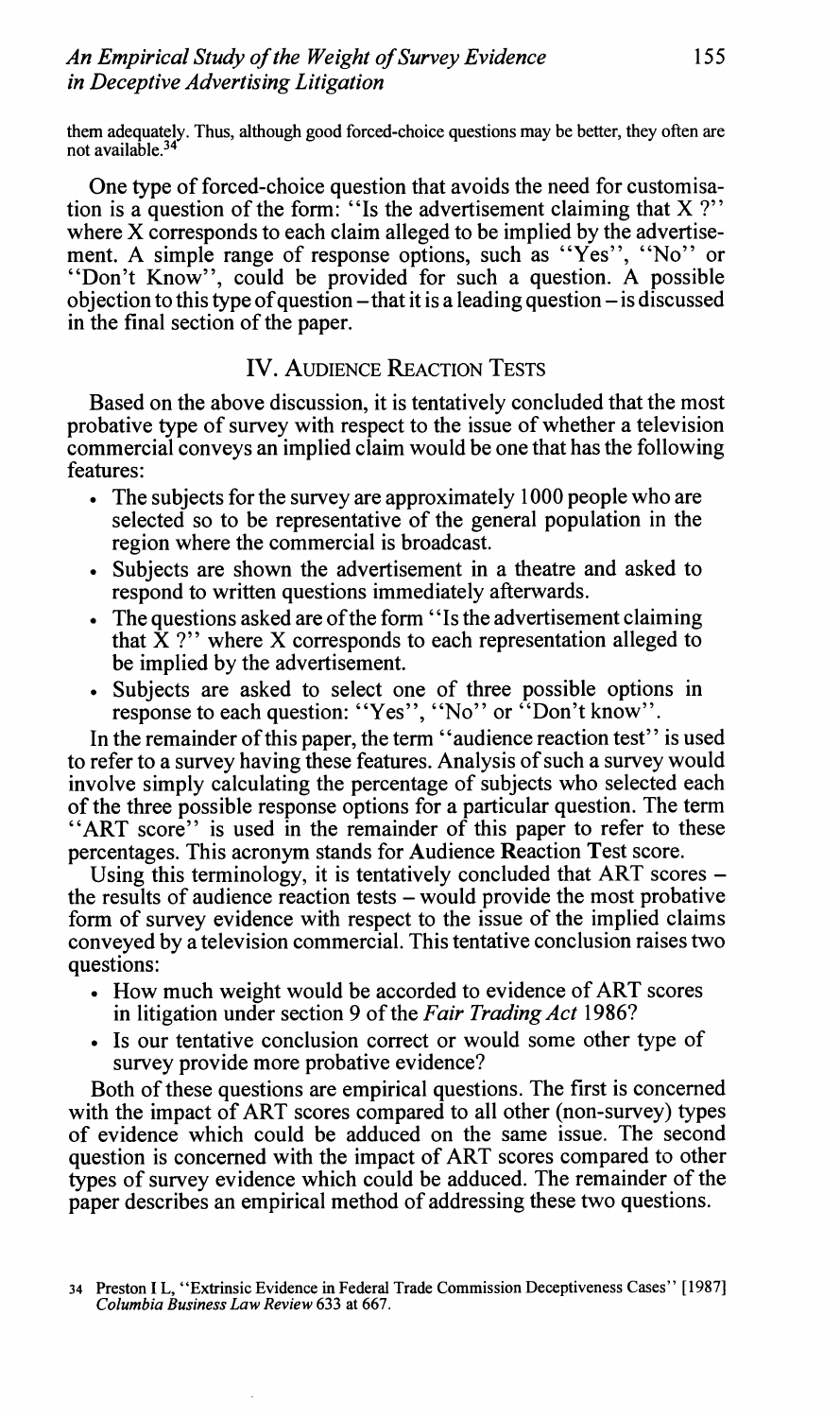**them adequately. Thus, although good forced-choice questions may be better, they often are not available.34** 

One type of forced-choice question that avoids the need for customisation is a question of the form: "Is the advertisement claiming that  $X$ ?" where X corresponds to each claim alleged to be implied by the advertisement. A simple range of response options, such as "Yes", "No" or "Don't Know", could be provided for such a question. A possible objection to this type of question  $-\theta$  that it is a leading question  $-\theta$  is discussed in the final section of the paper.

# **IV. AUDIENCE REACTION TESTS**

Based on the above discussion, it is tentatively concluded that the most probative type of survey with respect to the issue of whether a television commercial conveys an implied claim would be one that has the following features:

- . The subjects for the survey are approximately **1000** people who are selected so to be representative of the general population in the region where the commercial is broadcast.
- Subjects are shown the advertisement in a theatre and asked to respond to written questions immediately afterwards.
- The questions asked are of the form "Is the advertisement claiming" that  $\hat{X}$  ?" where X corresponds to each representation alleged to be implied by the advertisement.
- Subjects are asked to select one of three possible options in response to each question: "Yes", "NO" or "Don't know".

In the remainder of this paper, the term "audience reaction test" is used to refer to a survey having these features. Analysis of such a survey would involve simply calculating the percentage of subjects who selected each of the three possible response options for a particular question. The term "ART score" is used in the remainder of this paper to refer to these percentages. This acronym stands for Audience Reaction Test score.

Using this terminology, it is tentatively concluded that ART scores – the results of audience reaction tests - would provide the most probative form of survey evidence with respect to the issue of the implied claims conveyed by a television commercial. This tentative conclusion raises two questions:

- . How much weight would be accorded to evidence of ART scores in litigation under section **9** of the *Fair Trading Act* **1986?** -
- Is our tentative conclusion correct or would some other type of survey provide more probative evidence?

Both of these questions are empirical questions. The first is concerned with the impact of ART scores compared to all other (non-survey) types of evidence which could be adduced on the same issue. The second question is concerned with the impact of ART scores compared to other types of survey evidence which could be adduced. The remainder of the paper describes an empirical method of addressing these two questions.

**<sup>34</sup> Preston I L, "Extrinsic Evidence in Federal Trade Commission Deceptiveness Cases''** [I9871 *Columbia Business Law Review* 633 **at** 667.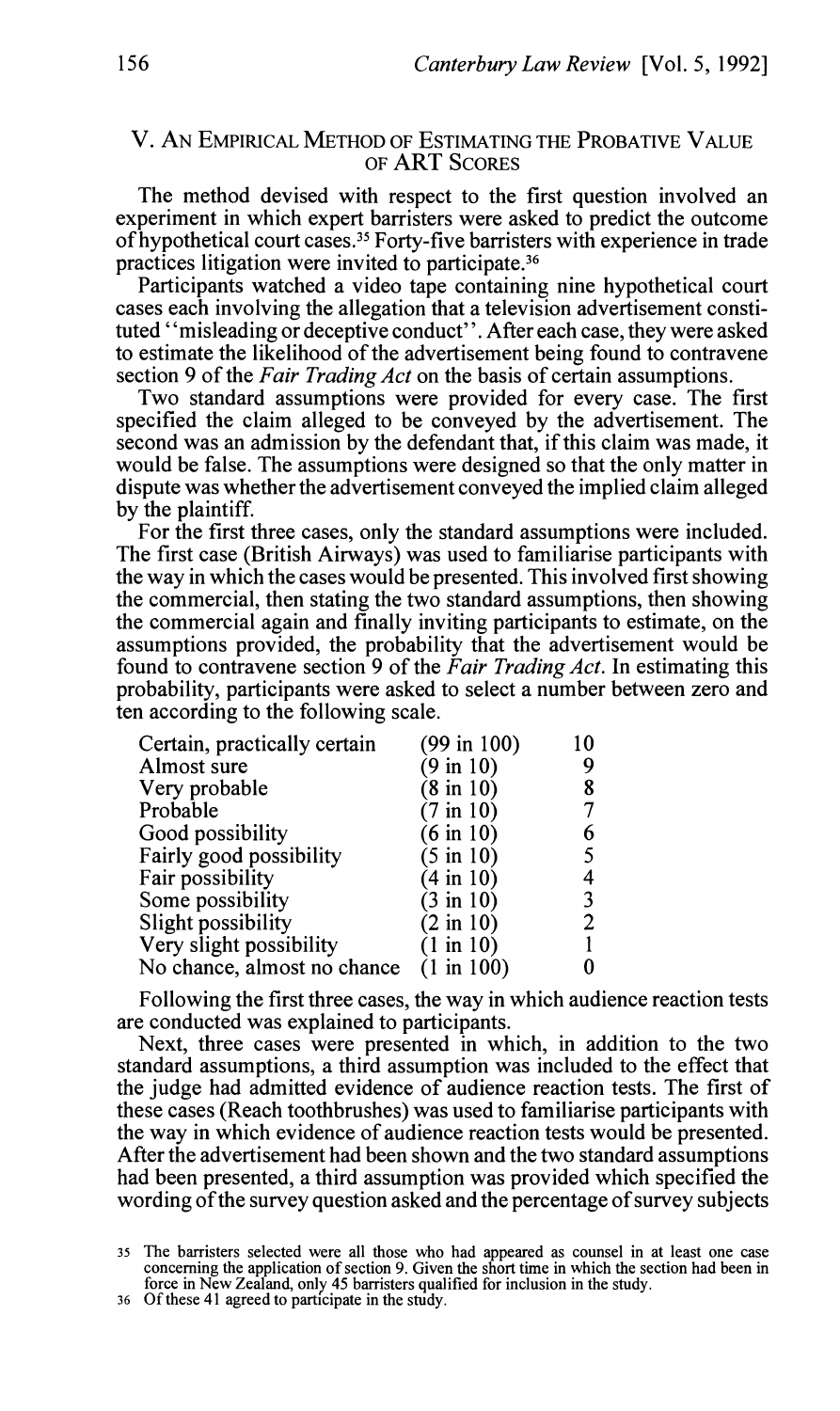### V. AN EMPIRICAL METHOD OF ESTIMATING THE PROBATIVE VALUE OF ART SCORES

The method devised with respect to the first question involved an experiment in which expert barristers were asked to predict the outcome of hypothetical court cases.35 Forty-five barristers with experience in trade practices litigation were invited to participate.<sup>36</sup>

Participants watched a video tape containing nine hypothetical court cases each involving the allegation that a television advertisement constituted "misleading or deceptive conduct". After each case, they were asked to estimate the likelihood of the advertisement being found to contravene section 9 of the *Fair Trading Act* on the basis of certain assumptions.

Two standard assumptions were provided for every case. The first specified the claim alleged to be conveyed by the advertisement. The second was an admission by the defendant that, if this claim was made, it would be false. The assumptions were designed so that the only matter in dispute was whether the advertisement conveyed the implied claim alleged by the plaintiff.

For the first three cases, only the standard assumptions were included. The first case (British Airways) was used to familiarise participants with the way in which the cases would be presented. This involved first showing the commercial, then stating the two standard assumptions, then showing the commercial again and finally inviting participants to estimate, on the assumptions provided, the probability that the advertisement would be found to contravene section 9 of the *Fair Trading Act.* In estimating this probability, participants were asked to select a number between zero and ten according to the following scale.

| Certain, practically certain | (99 in 100)           | $\Omega$ |
|------------------------------|-----------------------|----------|
| Almost sure                  | $(9 \text{ in } 10)$  | 9        |
| Very probable                | $(8 \text{ in } 10)$  |          |
| Probable                     | $(7 \text{ in } 10)$  |          |
| Good possibility             | $(6 \text{ in } 10)$  | 6        |
| Fairly good possibility      | $(5 \text{ in } 10)$  |          |
| Fair possibility             | $(4 \text{ in } 10)$  | 4        |
| Some possibility             | (3 in 10)             |          |
| Slight possibility           | $(2 \text{ in } 10)$  | 2        |
| Very slight possibility      | $(1 \text{ in } 10)$  |          |
| No chance, almost no chance  | $(1 \text{ in } 100)$ |          |

Following the first three cases, the way in which audience reaction tests are conducted was explained to participants.

Next, three cases were presented in which, in addition to the two standard assumptions, a third assumption was included to the effect that the judge had admitted evidence of audience reaction tests. The first of these cases (Reach toothbrushes) was used to familiarise participants with the way in which evidence of audience reaction tests would be presented. After the advertisement had been shown and the two standard assumptions had been presented, a third assumption was provided which specified the wording of the survey question asked and the percentage of survey subjects

<sup>35</sup> The barristers selected were all those who had appeared as counsel in at least one case concerning the application of section 9. Given the short time in which the section had been in force in New Zealand, only 45 barristers qualified for inclusion in the study. 36 Of these 41 agreed to participate in the study.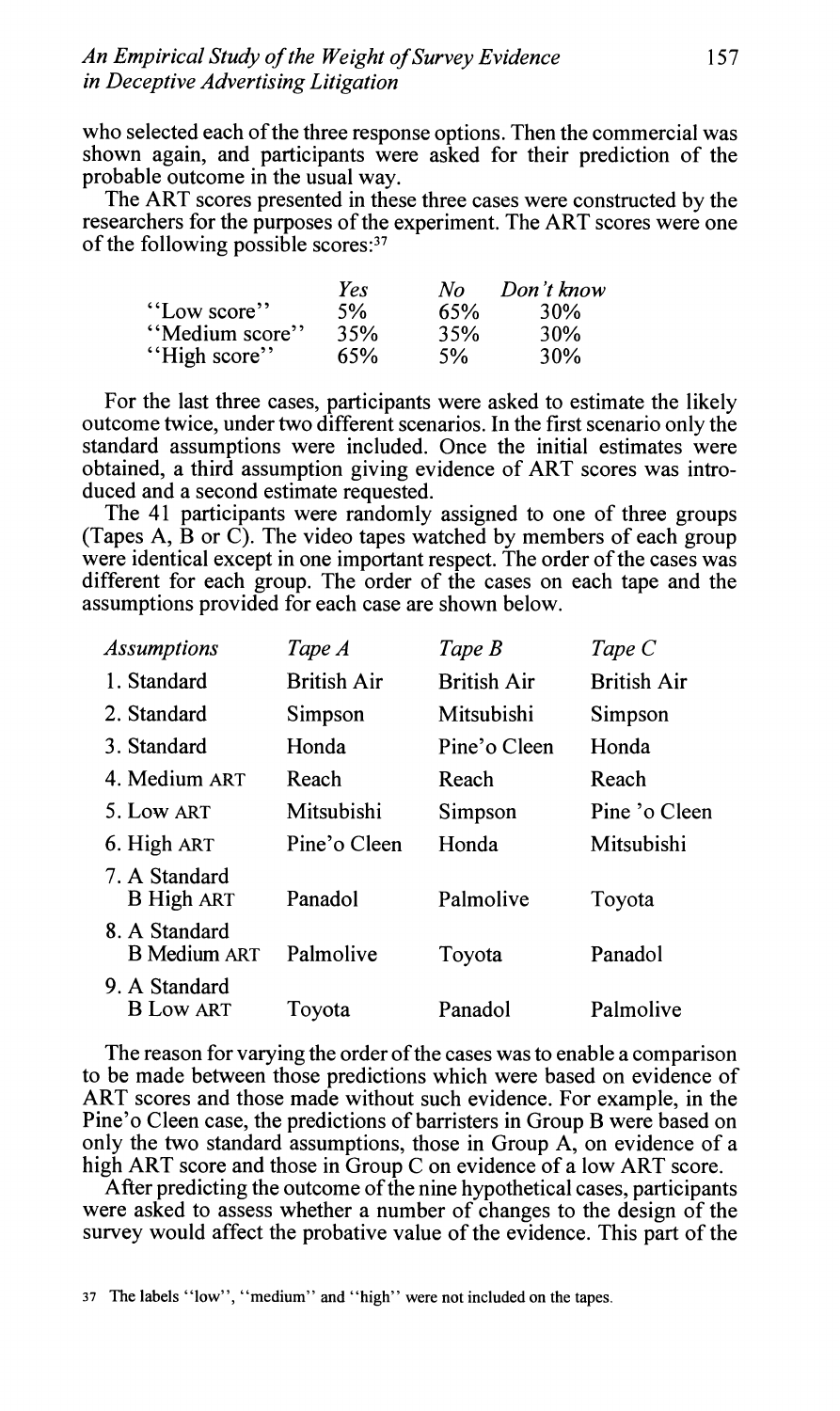who selected each of the three response options. Then the commercial was shown again, and participants were asked for their prediction of the probable outcome in the usual way.

The ART scores presented in these three cases were constructed by the researchers for the purposes of the experiment. The ART scores were one of the following possible scores:<sup>37</sup>

|                | Yes | No  | Don't know      |
|----------------|-----|-----|-----------------|
| "Low score"    | 5%  | 65% | 30%             |
| "Medium score" | 35% | 35% | 30%             |
| "High score"   | 65% | 5%  | 30 <sub>%</sub> |

For the last three cases, participants were asked to estimate the likely outcome twice, under two different scenarios. In the first scenario only the standard assumptions were included. Once the initial estimates were obtained, a third assumption giving evidence of ART scores was introduced and a second estimate requested.

The 41 participants were randomly assigned to one of three groups (Tapes A, B or C). The video tapes watched by members of each group were identical except in one important respect. The order of the cases was different for each group. The order of the cases on each tape and the assumptions provided for each case are shown below.

| <b>Assumptions</b>                   | Tape A             | Tape B             | Tape C             |
|--------------------------------------|--------------------|--------------------|--------------------|
| 1. Standard                          | <b>British Air</b> | <b>British Air</b> | <b>British Air</b> |
| 2. Standard                          | Simpson            | Mitsubishi         | Simpson            |
| 3. Standard                          | Honda              | Pine'o Cleen       | Honda              |
| 4. Medium ART                        | Reach              | Reach              | Reach              |
| 5. Low ART                           | Mitsubishi         | Simpson            | Pine 'o Cleen      |
| 6. High ART                          | Pine'o Cleen       | Honda              | Mitsubishi         |
| 7. A Standard<br><b>B</b> High ART   | Panadol            | Palmolive          | Toyota             |
| 8. A Standard<br><b>B</b> Medium ART | Palmolive          | Toyota             | Panadol            |
| 9. A Standard<br><b>B</b> Low ART    | Toyota             | Panadol            | Palmolive          |

The reason for varying the order of the cases was to enable a comparison to be made between those predictions which were based on evidence of ART scores and those made without such evidence. For example, in the Pine'o Cleen case, the predictions of barristers in Group B were based on only the two standard assumptions, those in Group A, on evidence of a high ART score and those in Group C on evidence of a low ART score.

After predicting the outcome of the nine hypothetical cases, participants were asked to assess whether a number of changes to the design of the survey would affect the probative value of the evidence. This part of the

37 The labels "low", "medium" and "high" were not included on the tapes.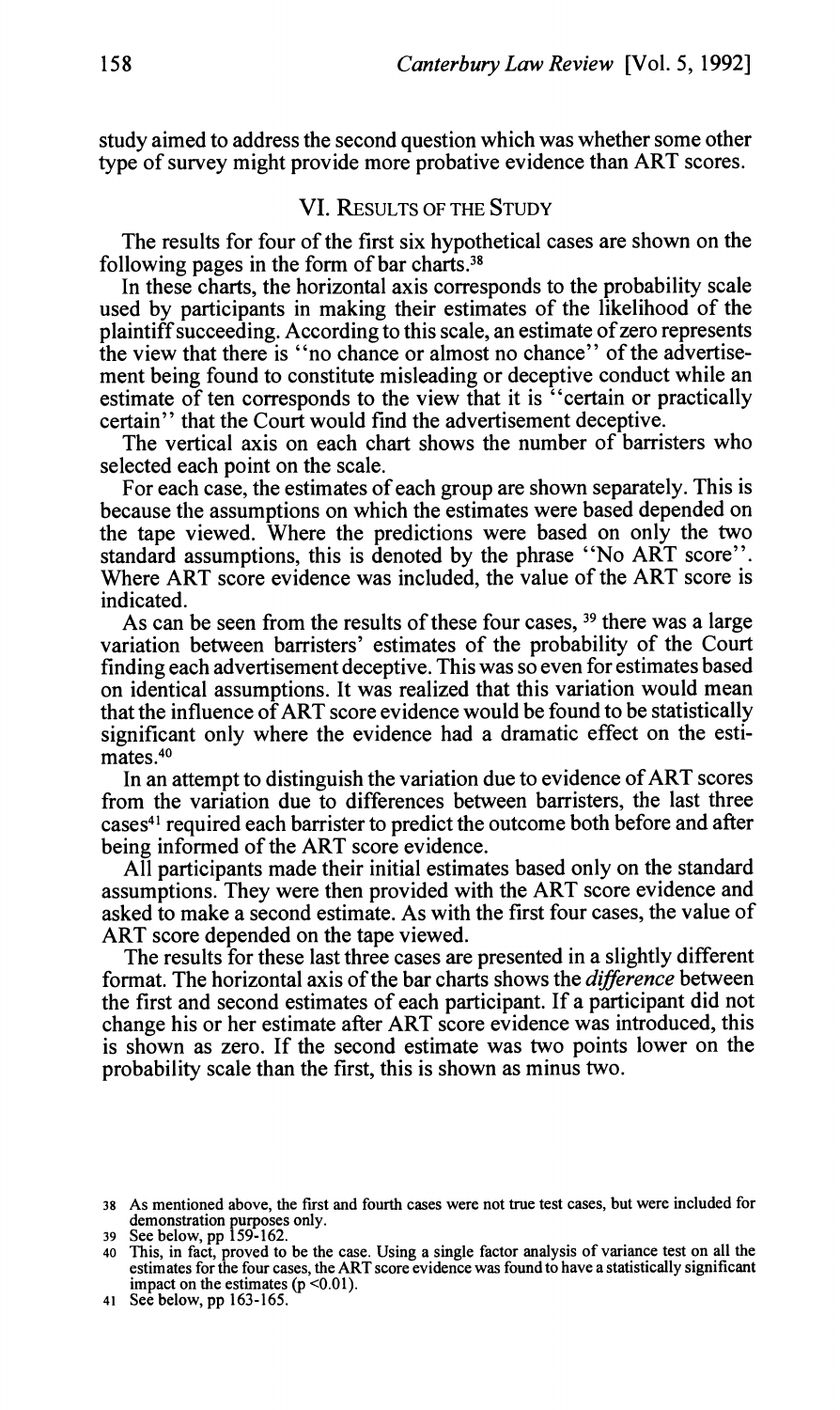study aimed to address the second question which was whether some other type of survey might provide more probative evidence than ART scores.

#### VI. **RESULTS** OF THE STUDY

The results for four of the first six hypothetical cases are shown on the following pages in the form of bar charts.38

In these charts, the horizontal axis corresponds to the probability scale used by participants in making their estimates of the likelihood of the plaintiff succeeding. According to this scale, an estimate of zero represents the view that there is "no chance or almost no chance" of the advertisement being found to constitute misleading or deceptive conduct while an estimate of ten corresponds to the view that it is "certain or practically certain" that the Court would find the advertisement deceptive.

The vertical axis on each chart shows the number of barristers who selected each point on the scale.

For each case, the estimates of each group are shown separately. This is because the assumptions on which the estimates were based depended on the tape viewed. Where the predictions were based on only the two standard assumptions, this is denoted by the phrase "No ART score". Where ART score evidence was included, the value of the ART score is indicated.

As can be seen from the results of these four cases, **39** there was a large variation between barristers' estimates of the probability of the Court finding each advertisement deceptive. This was so even for estimates based on identical assumptions. It was realized that this variation would mean that the influence of ART score evidence would be found to be statistically significant only where the evidence had a dramatic effect on the esti $m\$ {ates}.<sup>40</sup>

In an attempt to distinguish the variation due to evidence of ART scores from the variation due to differences between barristers, the last three cases41 required each barrister to predict the outcome both before and after being informed of the ART score evidence.

All participants made their initial estimates based only on the standard assumptions. They were then provided with the ART score evidence and asked to make a second estimate. As with the first four cases, the value of ART score depended on the tape viewed.

The results for these last three cases are presented in a slightly different format. The horizontal axis of the bar charts shows the *difference* between the first and second estimates of each participant. If a participant did not change his or her estimate after ART score evidence was introduced, this is shown as zero. If the second estimate was two points lower on the probability scale than the first, this is shown as minus two.

<sup>38</sup> AS mentioned above, the first and fourth cases were not true test cases, but were included for

<sup>39</sup> See below, pp 159-162.

<sup>40</sup> This, in fact, proved to be the case. Using a single factor analysis of variance test on all the estimates for the four cases. the ART score evidence was found to have a statistically significant impact on the estimates  $(p < 0.01)$ .

<sup>41</sup> See below, pp 163-165.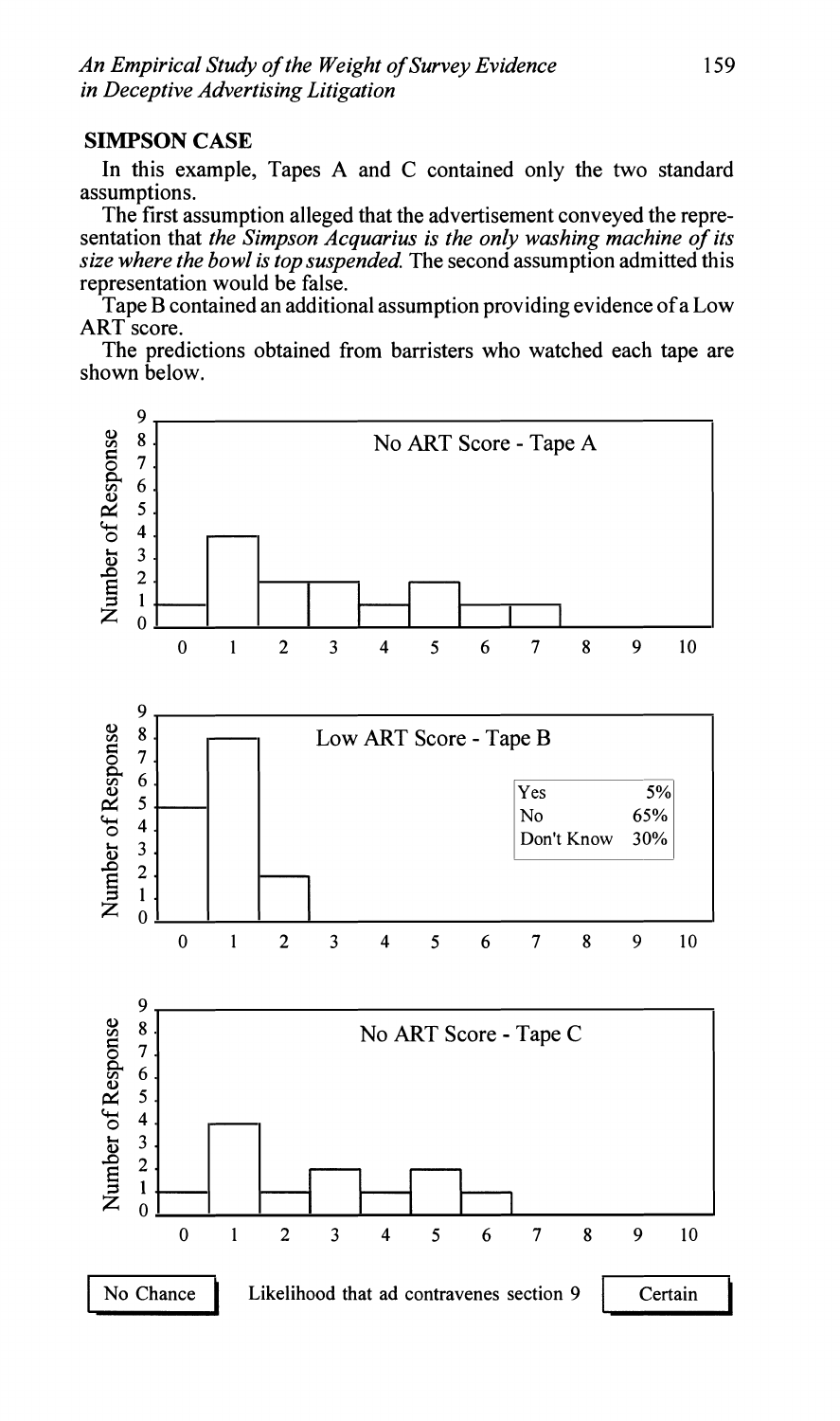#### **SIMPSON CASE**

In this example, Tapes A and C contained only the two standard assumptions.

The first assumption alleged that the advertisement conveyed the representation that *the Simpson Acquarius is the only washing machine of its size where the bowl is top suspended.* The second assumption admitted this representation would be false.

Tape B contained an additional assumption providing evidence of a Low ART score.

The predictions obtained from barristers who watched each tape are shown below.

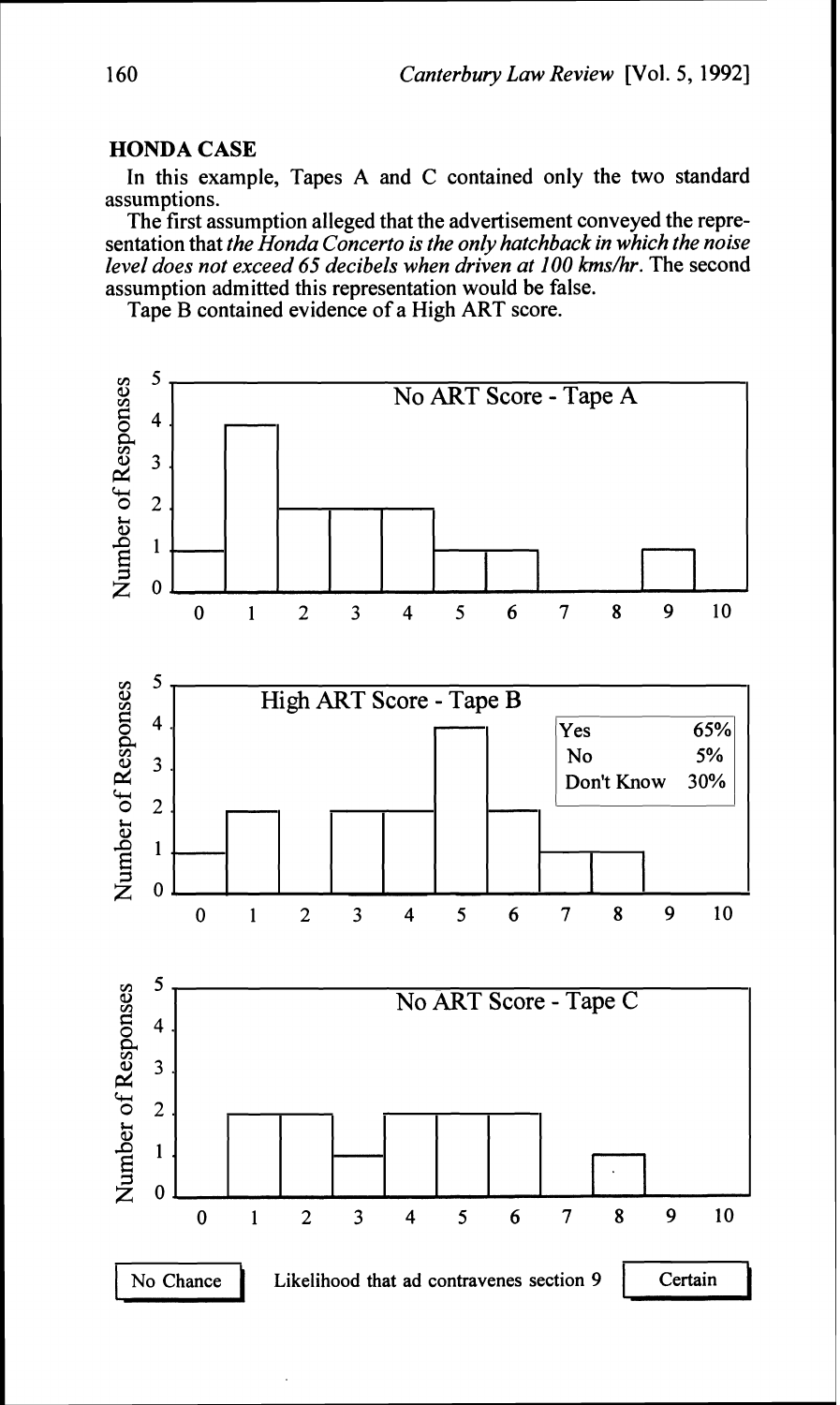# **HONDA CASE**

In this example, Tapes A and C contained only the two standard assumptions.

The first assumption alleged that the advertisement conveyed the representation that *the Honda Concerto is the only hatchback in which the noise level does not exceed 65 decibels when driven at 100 kms/hr.* The second assumption admitted this representation would be false.

Tape B contained evidence of a High ART score.

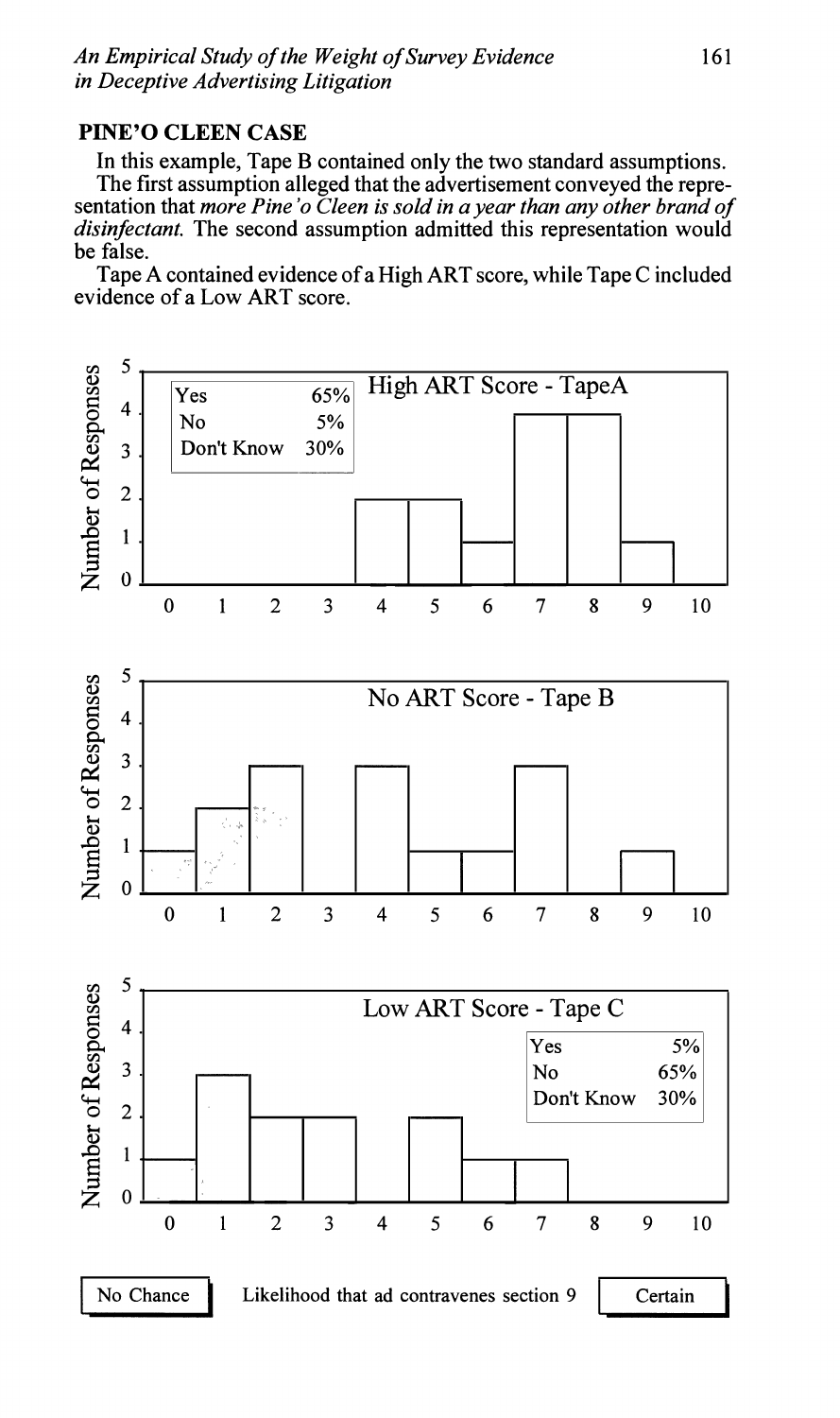# **PINE'O CLEEN CASE**

In this example, Tape B contained only the two standard assumptions. The first assumption alleged that the advertisement conveyed the representation that *more Pine* 'o *Cleen is sold in a year than any other brand of disinfectant.* The second assumption admitted this representation would be false.

Tape A contained evidence of a High ART score, while Tape C included evidence of a Low ART score.

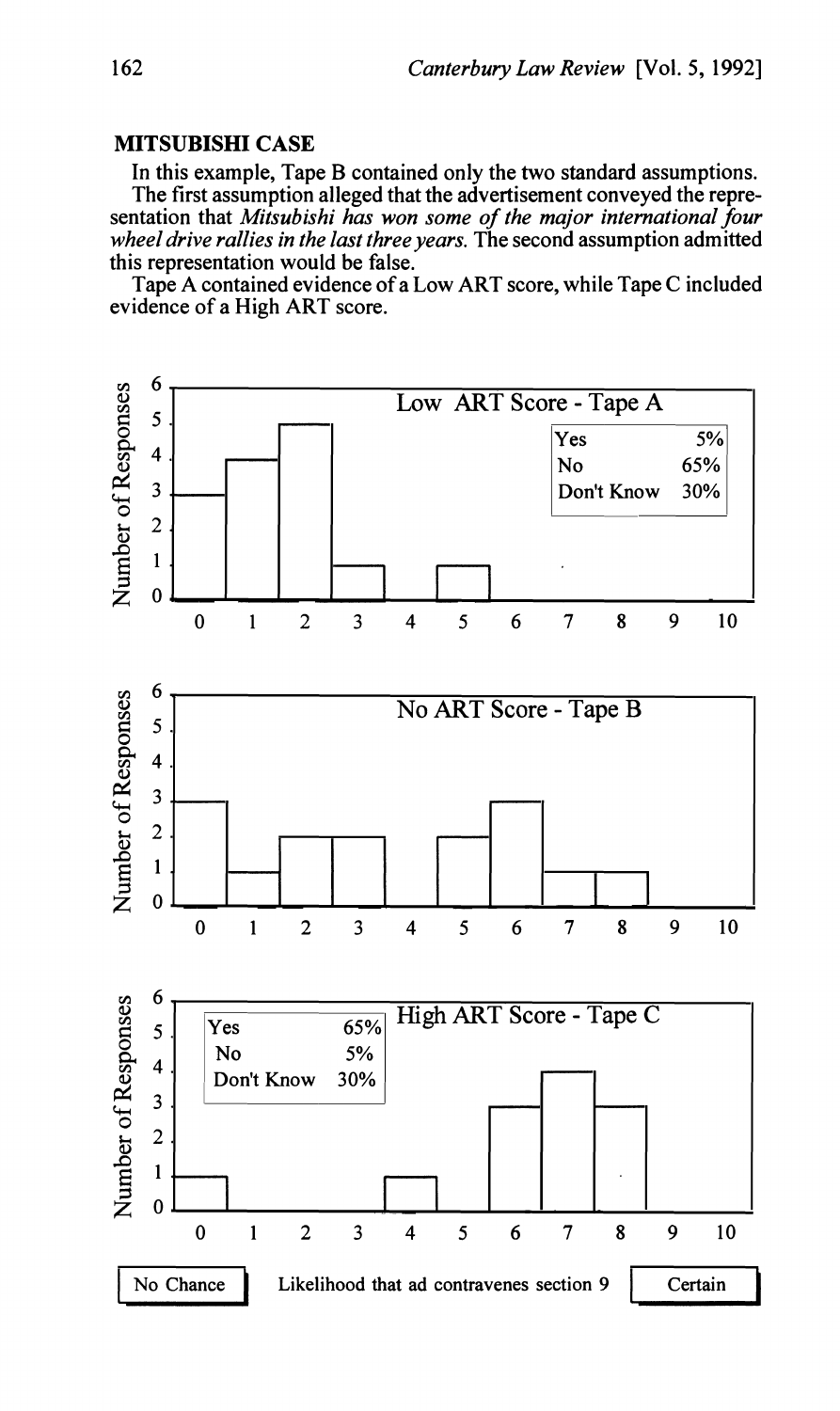## **MITSUBISHI CASE**

In this example, Tape B contained only the two standard assumptions. The first assumption alleged that the advertisement conveyed the repre-

sentation that *Mitsubishi has won some of the major international four wheel drive rallies in the last three years.* The second assumption admitted this representation would be false.

Tape A contained evidence of a Low ART score, while Tape C included evidence of a High ART score.

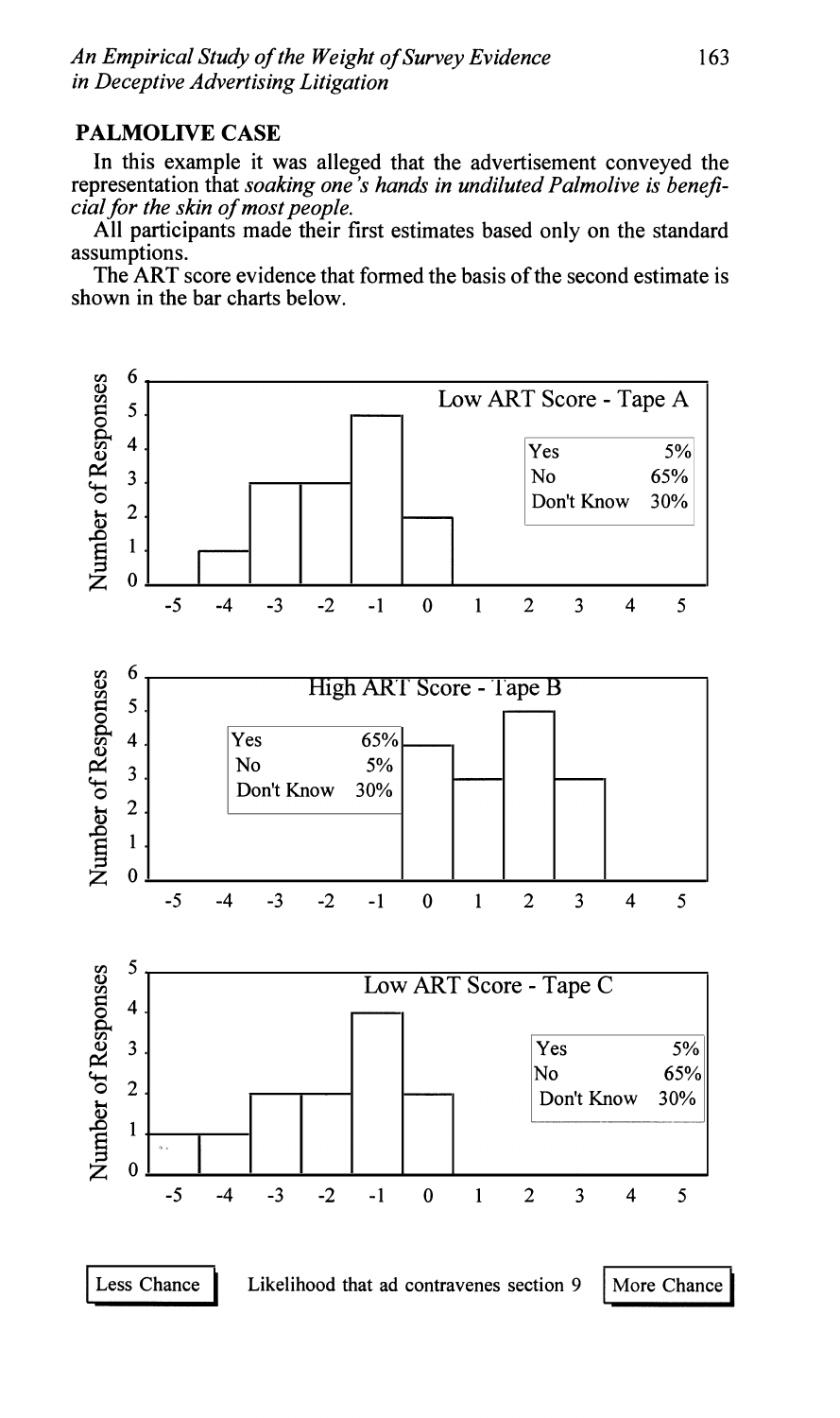# **PALMOLIVE CASE**

In this example it was alleged that the advertisement conveyed the representation that *soaking one's hands in undiluted Palmolive is beneficial for the skin of most people.* 

All participants made their first estimates based only on the standard assumptions.

The ART score evidence that formed the basis of the second estimate is shown in the bar charts below.

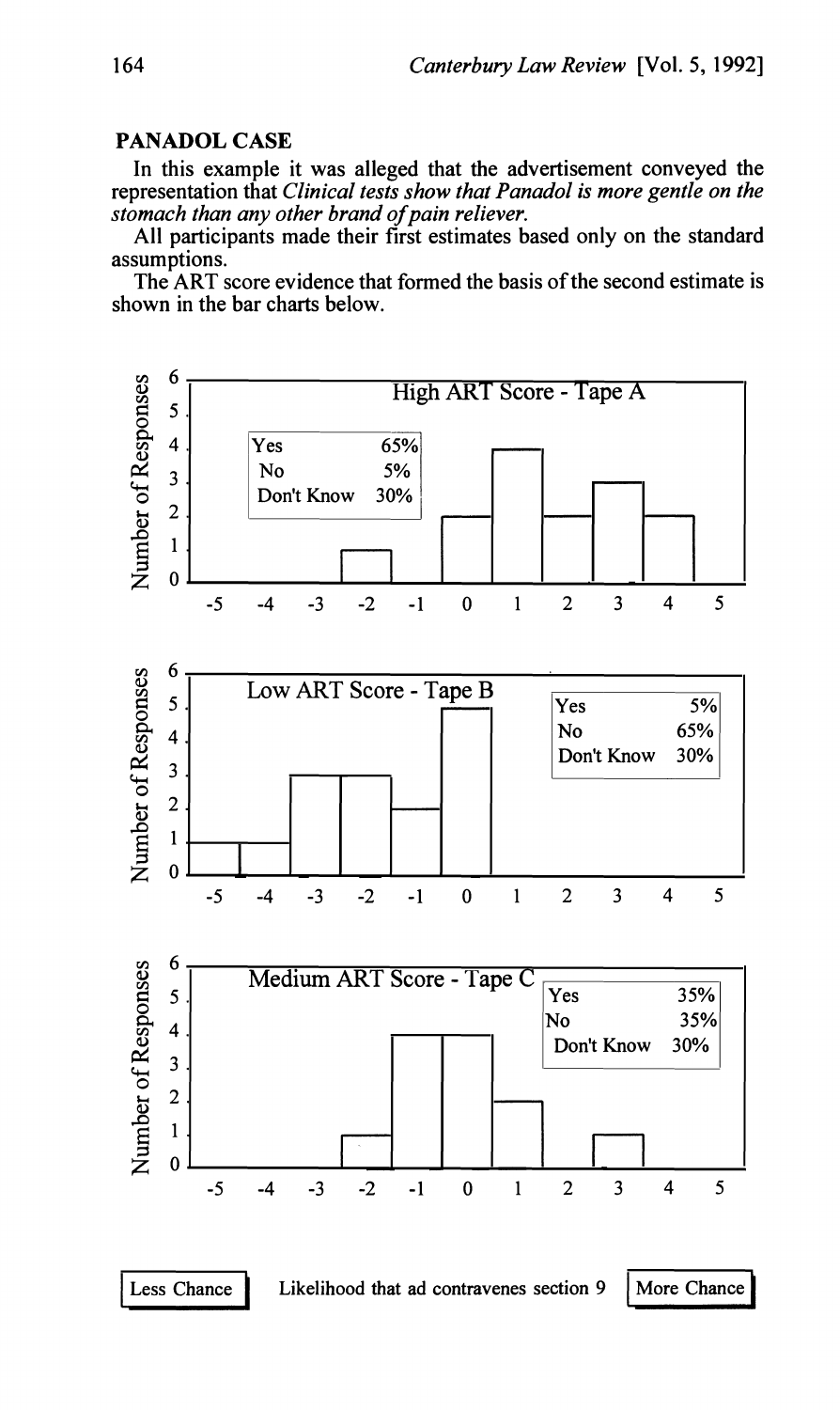### **PANADOL CASE**

In this example it was alleged that the advertisement conveyed the representation that *Clinical tests show that Panadol is more gentle on the stomach than any other brand of pain reliever.* 

All participants made their first estimates based only on the standard assumptions.

The ART score evidence that formed the basis of the second estimate is shown in the bar charts below.

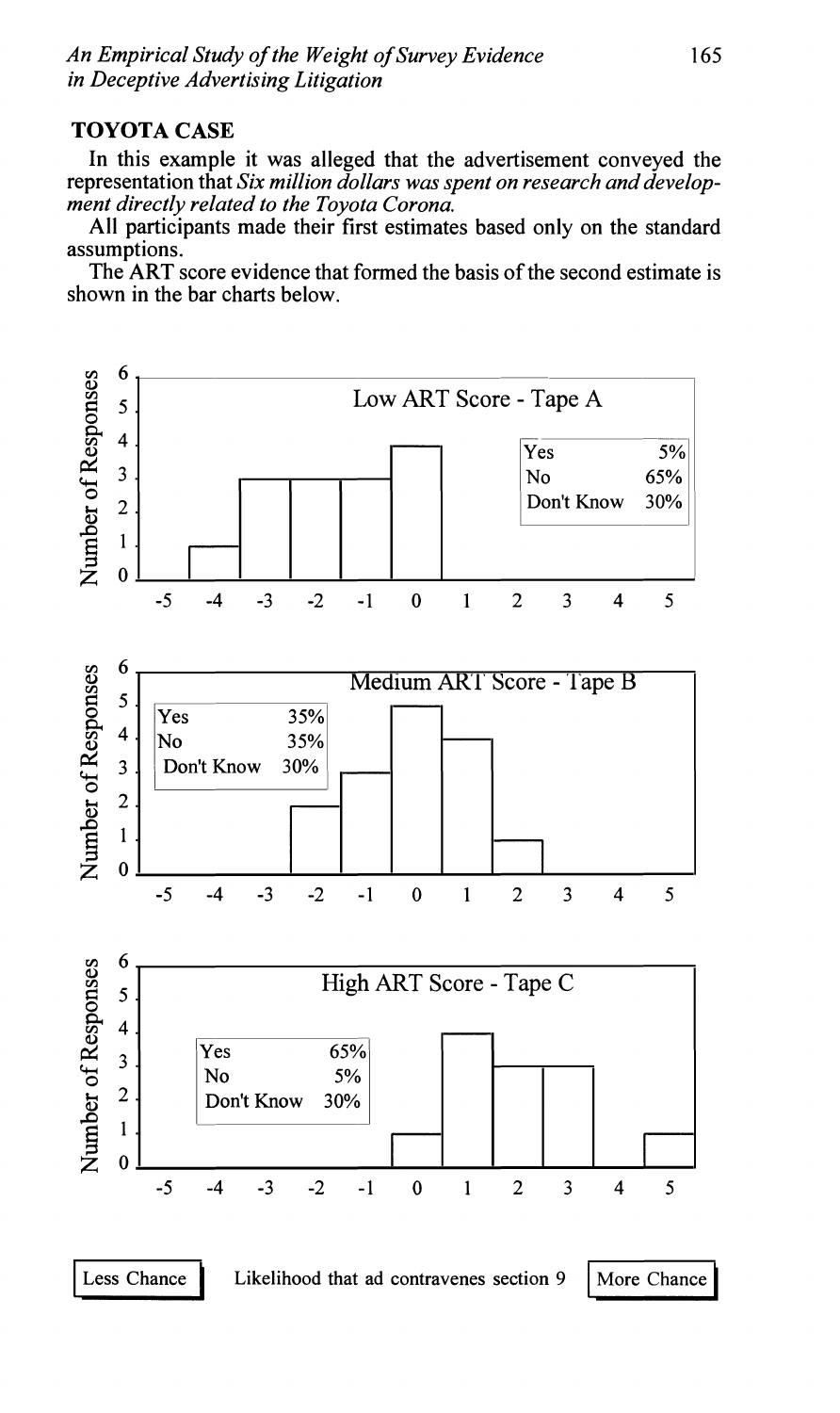# **TOYOTA CASE**

In this example it was alleged that the advertisement conveyed the representation that *Six million dollars was spent on research and development directly related to the Toyota Corona.* 

All participants made their first estimates based only on the standard assumptions.

The ART score evidence that formed the basis of the second estimate is shown in the bar charts below.

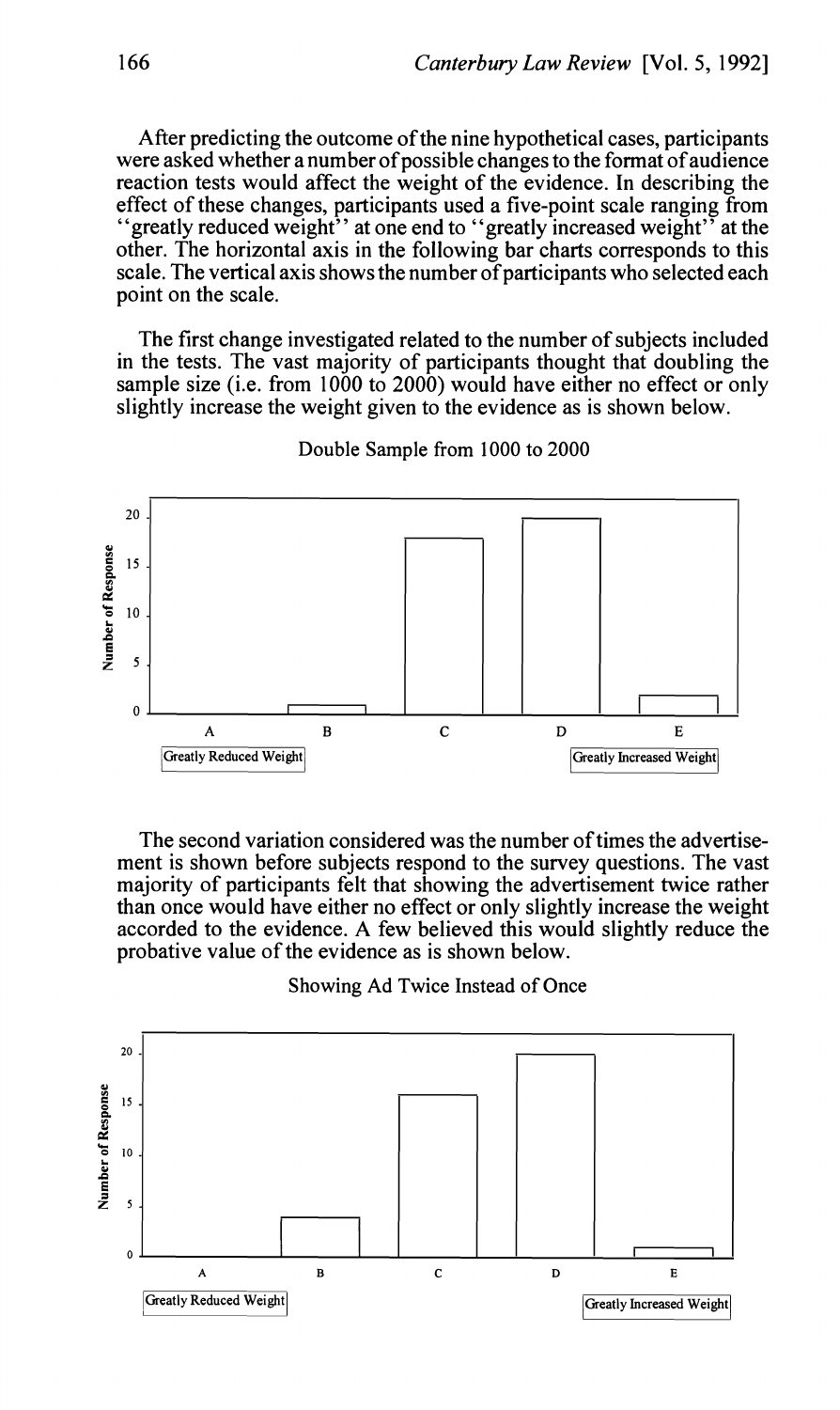After predicting the outcome of the nine hypothetical cases, participants were asked whether a number of possible changes to the format of audience reaction tests would affect the weight of the evidence. In describing the effect of these changes, participants used a five-point scale ranging from "greatly reduced weight" at one end to "greatly increased weight" at the other. The horizontal axis in the following bar charts corresponds to this scale. The vertical axis shows the number of participants who selected each point on the scale.

The first change investigated related to the number of subjects included in the tests. The vast majority of participants thought that doubling the sample size (i.e. from 1000 to 2000) would have either no effect or only slightly increase the weight given to the evidence as is shown below.



Double Sample from 1000 to 2000

The second variation considered was the number of times the advertisement is shown before subjects respond to the survey questions. The vast majority of participants felt that showing the advertisement twice rather than once would have either no effect or only slightly increase the weight accorded to the evidence. A few believed this would slightly reduce the probative value of the evidence as is shown below.



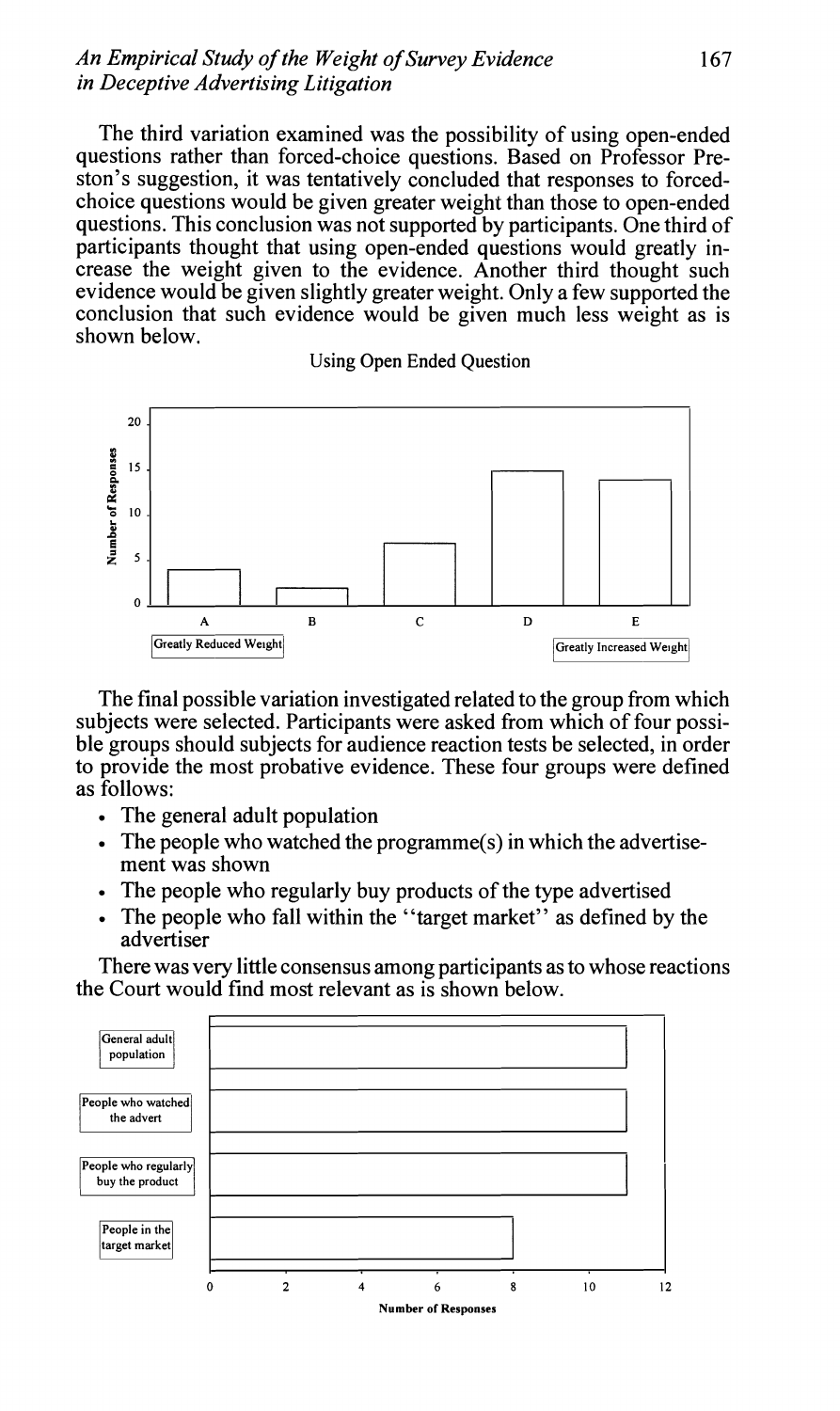### *An Empirical Study* **of** *the Weight* **of** *Survey Evidence* 167 *in Deceptive Advertising Litigation*

The third variation examined was the possibility of using open-ended questions rather than forced-choice questions. Based on Professor Preston's suggestion, it was tentatively concluded that responses to forcedchoice questions would be given greater weight than those to open-ended questions. This conclusion was not supported by participants. One third of participants thought that using open-ended questions would greatly increase the weight given to the evidence. Another third thought such evidence would be given slightly greater weight. Only a few supported the conclusion that such evidence would be given much less weight as is shown below.

**Using Open Ended Question** 



The final possible variation investigated related to the group from which subjects were selected. Participants were asked from which of four possible groups should subjects for audience reaction tests be selected, in order to provide the most probative evidence. These four groups were defined as follows:

- The general adult population
- The people who watched the programme(s) in which the advertisement was shown
- The people who regularly buy products of the type advertised
- The people who fall within the "target market" as defined by the advertiser

There was very little consensus among participants as to whose reactions the Court would find most relevant as is shown below.

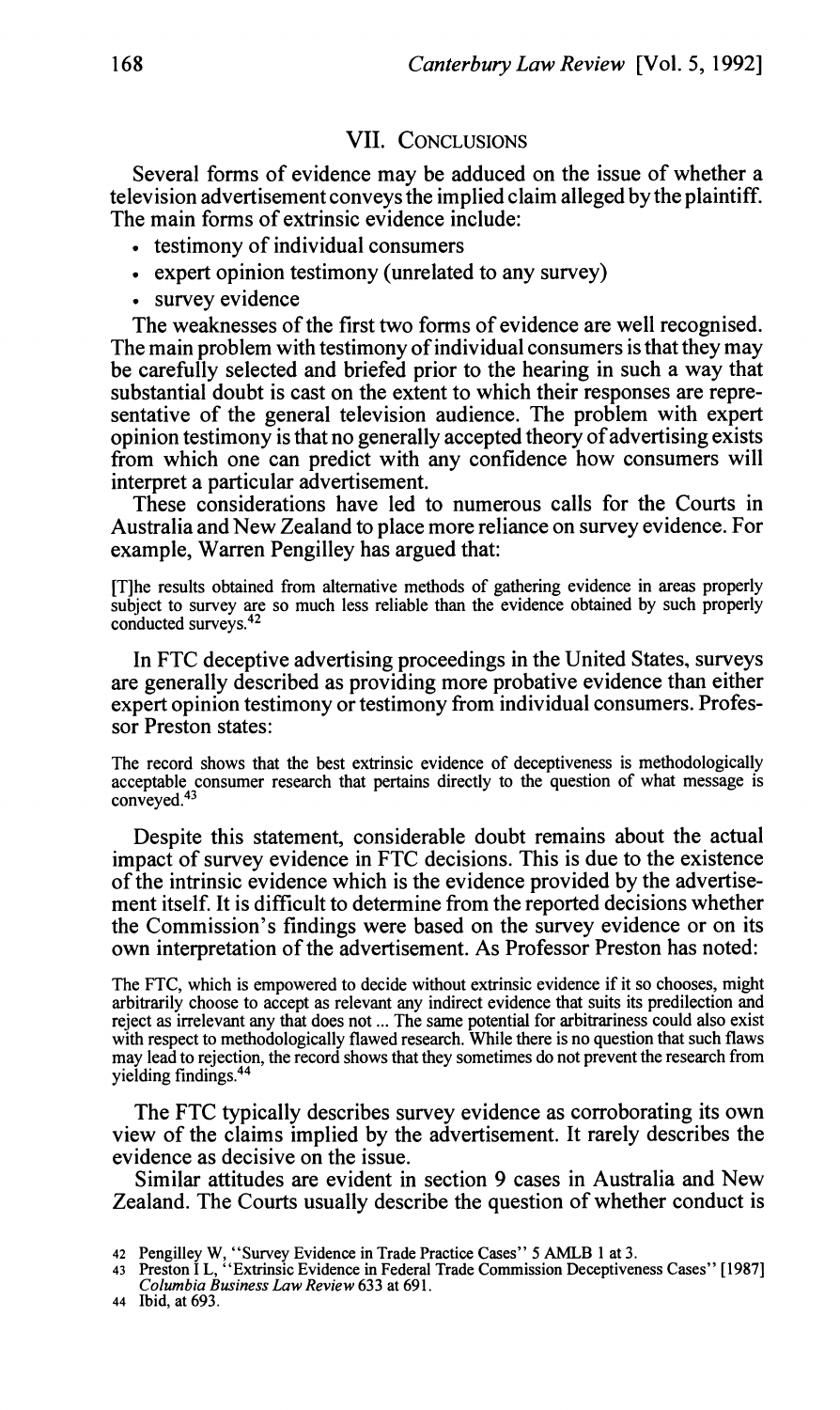### VII. CONCLUSIONS

Several forms of evidence may be adduced on the issue of whether a television advertisement conveys the implied claim alleged by the plaintiff. The main forms of extrinsic evidence include:

- . testimony of individual consumers
- expert opinion testimony (unrelated to any survey)
- survey evidence

The weaknesses of the first two forms of evidence are well recognised. The main problem with testimony of individual consumers is that they may be carefully selected and briefed prior to the hearing in such a way that substantial doubt is cast on the extent to which their responses are representative of the general television audience. The problem with expert opinion testimony is that no generally accepted theory of advertising exists from which one can predict with any confidence how consumers will interpret a particular advertisement.

These considerations have led to numerous calls for the Courts in Australia and New Zealand to place more reliance on survey evidence. For example, Warren Pengilley has argued that:

[Tlhe results obtained from alternative methods of gathering evidence in areas properly subject to survey are so much less reliable than the evidence obtained by such properly conducted surveys.42

In FTC deceptive advertising proceedings in the United States, surveys are generally described as providing more probative evidence than either expert opinion testimony or testimony from individual consumers. Professor Preston states:

The record shows that the best extrinsic evidence of deceptiveness is methodologically acceptable consumer research that pertains directly to the question of what message is<br>conveyed 43 conveyed.4

Despite this statement, considerable doubt remains about the actual impact of survey evidence in FTC decisions. This is due to the existence of the intrinsic evidence which is the evidence provided by the advertisement itself. It is difficult to determine from the reported decisions whether the Commission's findings were based on the survey evidence or on its own interpretation of the advertisement. As Professor Preston has noted:

The FTC, which is empowered to decide without extrinsic evidence if it so chooses, might arbitrarily choose to accept as relevant any indirect evidence that suits its predilection and reject as irrelevant any that does not ... The same potential for arbitrariness could also exist with respect to methodologically flawed research. While there is no question that such flaws may lead to rejection, the record shows that they sometimes do not prevent the research from yielding findings.44

The FTC typically describes survey evidence as corroborating its own view of the claims implied by the advertisement. It rarely describes the evidence as decisive on the issue.

Similar attitudes are evident in section 9 cases in Australia and New Zealand. The Courts usually describe the question of whether conduct is

- 42 Pengilley W, "Survey Evidence inTrade Practice Cases" 5 **AMLB** 1 at **3.** 43 Preston I L, "Extrinsic Evidence in Federal Trade Commission Deceptiveness Cases" **[I9871**  *Columbia Business Law Review* **633** at **691.**
- 44 Ibid, at **693.**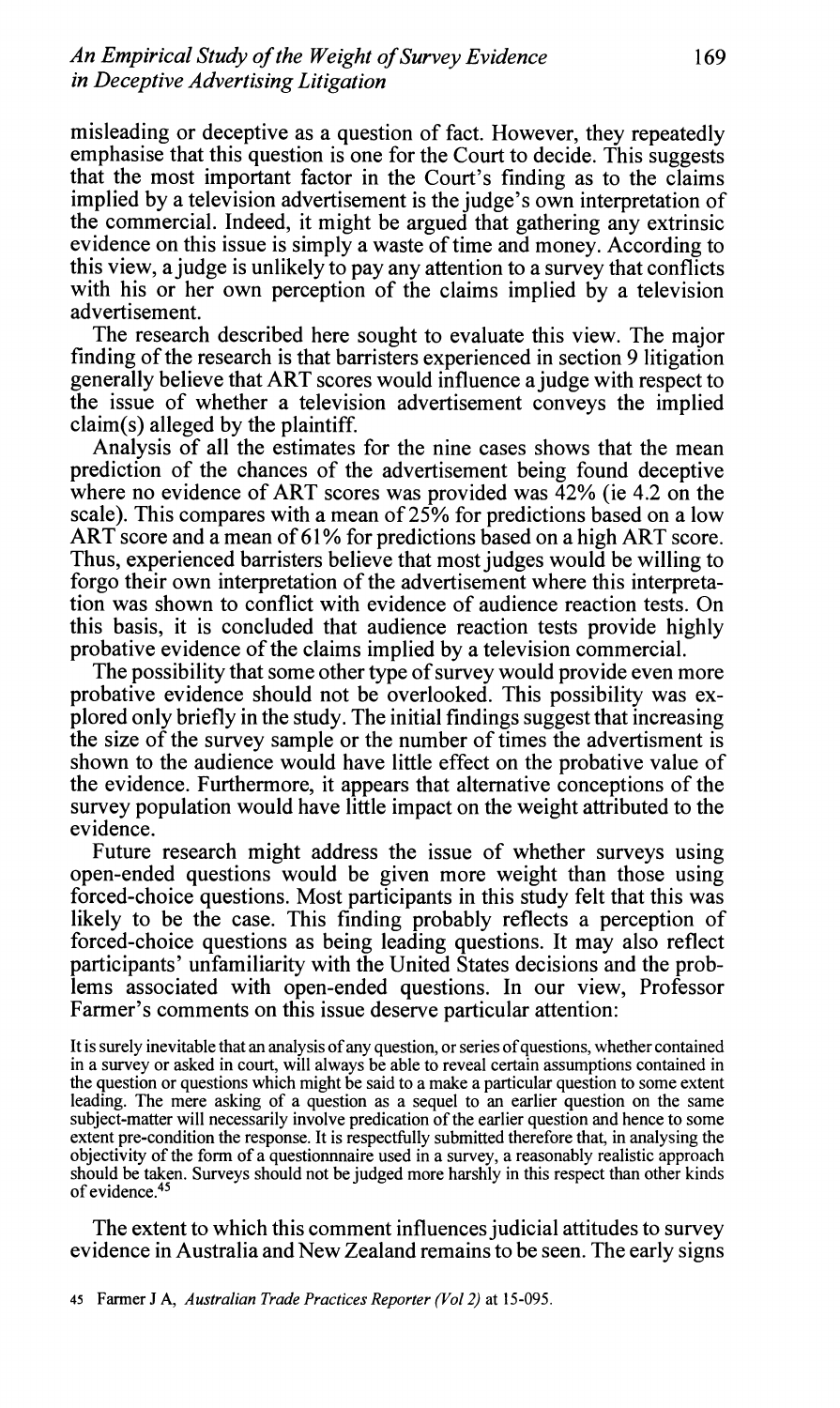misleading or deceptive as a question of fact. However, they repeatedly emphasise that this question is one for the Court to decide. This suggests that the most important factor in the Court's finding as to the claims implied by a television advertisement is the judge's own interpretation of the commercial. Indeed, it might be argued that gathering any extrinsic evidence on this issue is simply a waste of time and money. According to this view, a judge is unlikely to pay any attention to a survey that conflicts with his or her own perception of the claims implied by a television advertisement.

The research described here sought to evaluate this view. The major finding of the research is that barristers experienced in section 9 litigation generally believe that ART scores would influence a judge with respect to the issue of whether a television advertisement conveys the implied claim(s) alleged by the plaintiff.

Analysis of all the estimates for the nine cases shows that the mean prediction of the chances of the advertisement being found deceptive where no evidence of ART scores was provided was  $\overline{4}2\%$  (ie 4.2 on the scale). This compares with a mean of 25% for predictions based on a low ART score and a mean of 61% for predictions based on a high ART score. Thus, experienced barristers believe that most judges would be willing to forgo their own interpretation of the advertisement where this interpretation was shown to conflict with evidence of audience reaction tests. On this basis, it is concluded that audience reaction tests provide highly probative evidence of the claims implied by a television commercial.

The possibility that some other type of survey would provide even more probative evidence should not be overlooked. This possibility was explored only briefly in the study. The initial findings suggest that increasing the size of the survey sample or the number of times the advertisment is shown to the audience would have little effect on the probative value of the evidence. Furthermore, it appears that alternative conceptions of the survey population would have little impact on the weight attributed to the evidence.

Future research might address the issue of whether surveys using open-ended questions would be given more weight than those using forced-choice questions. Most participants in this study felt that this was likely to be the case. This finding probably reflects a perception of forced-choice questions as being leading questions. It may also reflect participants' unfamiliarity with the United States decisions and the problems associated with open-ended questions. In our view, Professor Farmer's comments on this issue deserve particular attention:

It is surely inevitable that an analysis of any question, or series of questions, whether contained in a survey or asked in court, will always be able to reveal certain assumptions contained in the question or questions which might be said to a make a particular question to some extent leading. The mere asking of a question as a sequel to an earlier question on the same subject-matter will necessarily involve predication of the earlier question and hence to some extent pre-condition the response. It is respectfully submitted therefore that, in analysing the objectivity of the form of a questionnnaire used in a survey, a reasonably realistic approach should be taken. Surveys should not be judged more harshly in this respect than other kinds of evidence.<sup>45</sup>

The extent to which this comment influences judicial attitudes to survey evidence in Australia and New Zealand remains to be seen. The early signs

45 Farmer J *A, Australian Trade Practices Reporter (Vol2) at* 15-095.